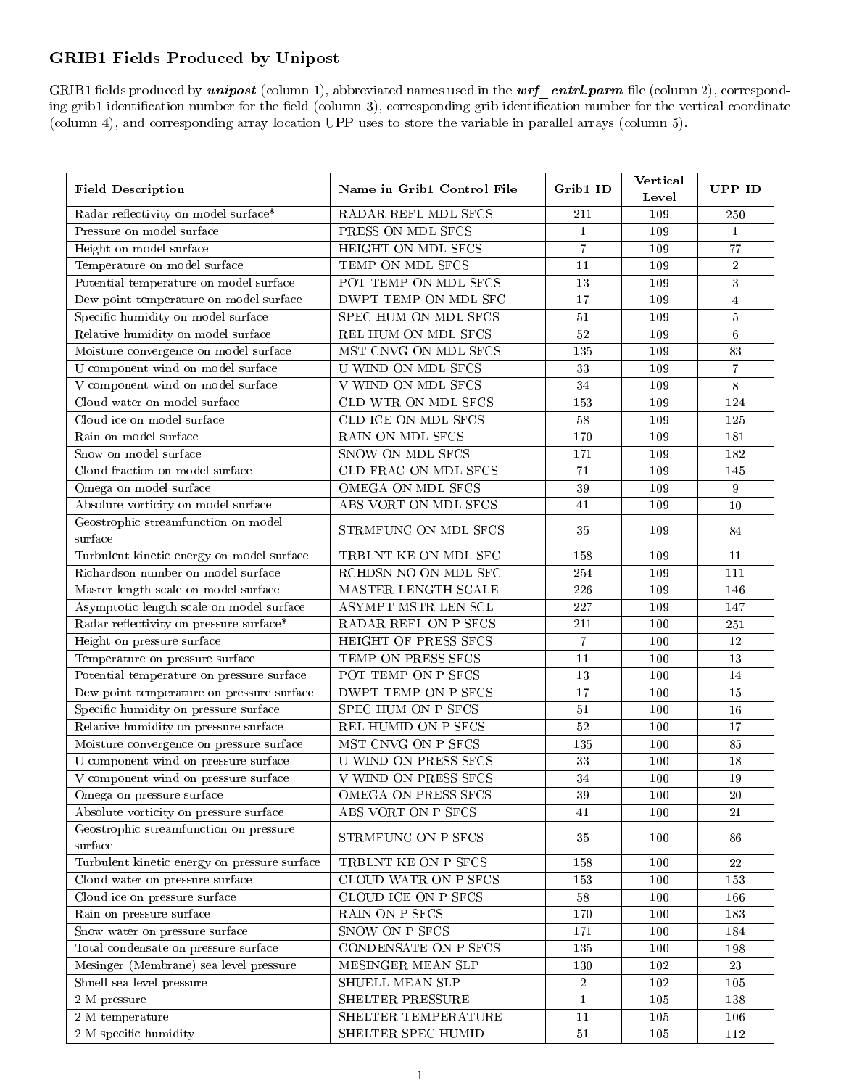## GRIB1 Fields Produced by Unipost

GRIB1 fields produced by  $unipost$  (column 1), abbreviated names used in the  $wrf$  cntrl.parm file (column 2), corresponding grib1 identification number for the field (column 3), corresponding grib identification number for the vertical coordinate (column 4), and corresponding array location UPP uses to store the variable in parallel arrays (column 5).

| <b>Field Description</b>                     | Name in Grib1 Control File  | Grib1 ID       | <b>Vertical</b> | UPP ID                  |
|----------------------------------------------|-----------------------------|----------------|-----------------|-------------------------|
|                                              |                             |                | Level           |                         |
| Radar reflectivity on model surface*         | RADAR REFL MDL SFCS         | 211            | 109             | 250                     |
| Pressure on model surface                    | PRESS ON MDL SFCS           | $\mathbf{1}$   | 109             | $\,1\,$                 |
| Height on model surface                      | HEIGHT ON MDL SFCS          | $\overline{7}$ | 109             | 77                      |
| Temperature on model surface                 | TEMP ON MDL SFCS            | 11             | 109             | $\,2$                   |
| Potential temperature on model surface       | POT TEMP ON MDL SFCS        | 13             | 109             | $\mathbf{3}$            |
| Dew point temperature on model surface       | DWPT TEMP ON MDL SFC        | 17             | 109             | $\overline{\mathbf{4}}$ |
| Specific humidity on model surface           | SPEC HUM ON MDL SFCS        | $51\,$         | 109             | $\bf 5$                 |
| Relative humidity on model surface           | REL HUM ON MDL SFCS         | 52             | 109             | $\,6\,$                 |
| Moisture convergence on model surface        | MST CNVG ON MDL SFCS        | 135            | 109             | $\bf 83$                |
| U component wind on model surface            | <b>U WIND ON MDL SFCS</b>   | 33             | 109             | $\overline{7}$          |
| V component wind on model surface            | V WIND ON MDL SFCS          | 34             | 109             | $\,$ 8 $\,$             |
| Cloud water on model surface                 | CLD WTR ON MDL SFCS         | 153            | 109             | 124                     |
| Cloud ice on model surface                   | CLD ICE ON MDL SFCS         | $58\,$         | 109             | 125                     |
| Rain on model surface                        | RAIN ON MDL SFCS            | 170            | 109             | 181                     |
| Snow on model surface                        | <b>SNOW ON MDL SFCS</b>     | 171            | 109             | 182                     |
| Cloud fraction on model surface              | CLD FRAC ON MDL SFCS        | 71             | 109             | 145                     |
| Omega on model surface                       | OMEGA ON MDL SFCS           | 39             | 109             | $\boldsymbol{9}$        |
| Absolute vorticity on model surface          | ABS VORT ON MDL SFCS        | 41             | 109             | 10                      |
| Geostrophic streamfunction on model          | STRMFUNC ON MDL SFCS        | 35             | 109             |                         |
| surface                                      |                             |                |                 | 84                      |
| Turbulent kinetic energy on model surface    | TRBLNT KE ON MDL SFC        | 158            | 109             | 11                      |
| Richardson number on model surface           | RCHDSN NO ON MDL SFC        | 254            | 109             | 111                     |
| Master length scale on model surface         | MASTER LENGTH SCALE         | 226            | 109             | 146                     |
| Asymptotic length scale on model surface     | ASYMPT MSTR LEN SCL         | 227            | 109             | 147                     |
| Radar reflectivity on pressure surface*      | RADAR REFL ON P SFCS        | $2\sqrt{11}$   | 100             | 251                     |
| Height on pressure surface                   | HEIGHT OF PRESS SFCS        | $\overline{7}$ | 100             | 12                      |
| Temperature on pressure surface              | TEMP ON PRESS SFCS          | 11             | 100             | 13                      |
| Potential temperature on pressure surface    | POT TEMP ON P SFCS          | 13             | 100             | 14                      |
| Dew point temperature on pressure surface    | DWPT TEMP ON P SFCS         | 17             | 100             | $15\,$                  |
| Specific humidity on pressure surface        | SPEC HUM ON P SFCS          | 51             | 100             | 16                      |
| Relative humidity on pressure surface        | REL HUMID ON P SFCS         | $52\,$         | 100             | 17                      |
| Moisture convergence on pressure surface     | MST CNVG ON P SFCS          | 135            | 100             | 85                      |
| U component wind on pressure surface         | <b>U WIND ON PRESS SFCS</b> | $3\sqrt{3}$    | 100             | 18                      |
| V component wind on pressure surface         | <b>V WIND ON PRESS SFCS</b> | 34             | 100             | $19\,$                  |
| Omega on pressure surface                    | OMEGA ON PRESS SFCS         | 39             | 100             | 20                      |
| Absolute vorticity on pressure surface       | ABS VORT ON P SFCS          | 41             | 100             | 21                      |
| Geostrophic streamfunction on pressure       |                             |                |                 |                         |
| surface                                      | STRMFUNC ON P SFCS          | 35             | 100             | 86                      |
| Turbulent kinetic energy on pressure surface | TRBLNT KE ON P SFCS         | 158            | 100             | 22                      |
| Cloud water on pressure surface              | CLOUD WATR ON P SFCS        | 153            | 100             | 153                     |
| Cloud ice on pressure surface                | CLOUD ICE ON P SFCS         | 58             | 100             | 166                     |
| Rain on pressure surface                     | RAIN ON P SFCS              | 170            | 100             | 183                     |
| Snow water on pressure surface               | SNOW ON P SFCS              | 171            | 100             | 184                     |
| Total condensate on pressure surface         | CONDENSATE ON P SFCS        | 135            | 100             | 198                     |
| Mesinger (Membrane) sea level pressure       | MESINGER MEAN SLP           | 130            | 102             | 23                      |
| Shuell sea level pressure                    | SHUELL MEAN SLP             | $\sqrt{2}$     | 102             | 105                     |
| 2 M pressure                                 | SHELTER PRESSURE            | $\mathbf{1}$   | 105             | 138                     |
| 2 M temperature                              | SHELTER TEMPERATURE         | 11             | 105             | 106                     |
| 2 M specific humidity                        | SHELTER SPEC HUMID          | $51\,$         | 105             | 112                     |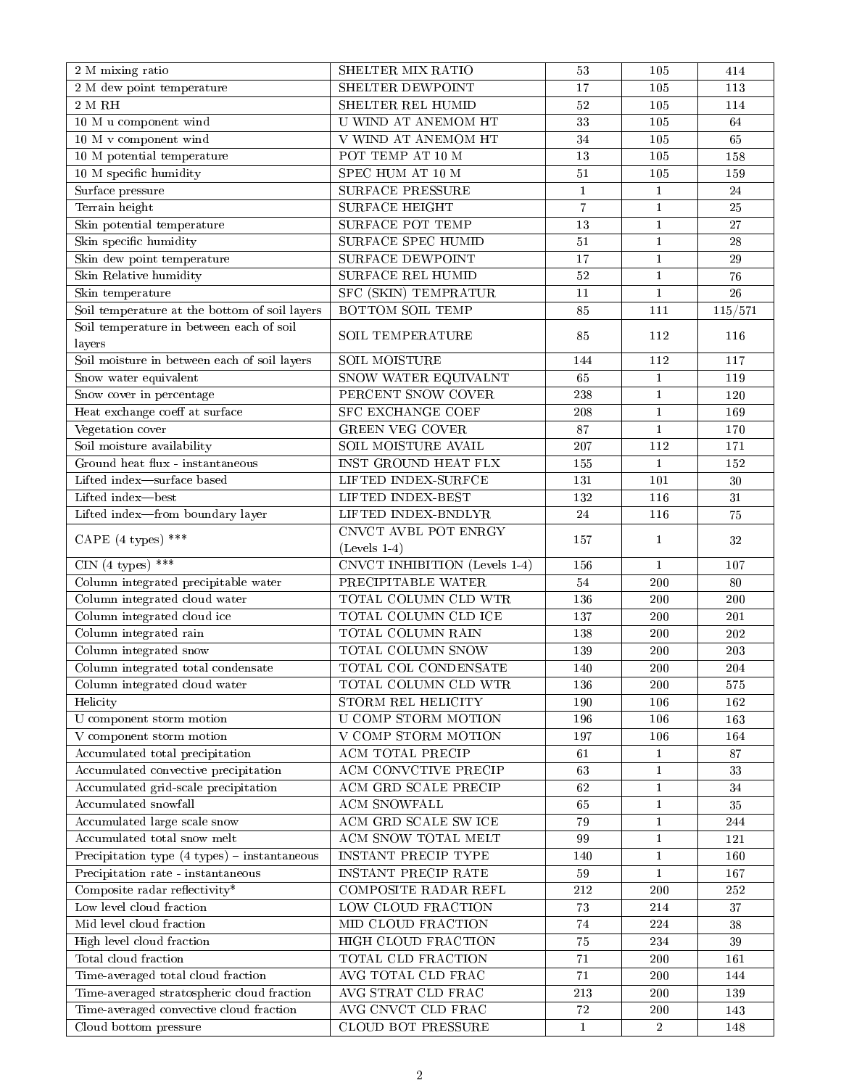| $\overline{2}$ M mixing ratio                 | SHELTER MIX RATIO             | $53\,$         | 105            | 414             |
|-----------------------------------------------|-------------------------------|----------------|----------------|-----------------|
| 2 M dew point temperature                     | SHELTER DEWPOINT              | 17             | 105            | 113             |
| $2\,$ M $\,$ RH $\,$                          | SHELTER REL HUMID             | 52             | 105            | 114             |
| 10 M u component wind                         | U WIND AT ANEMOM HT           | 33             | 105            | 64              |
| 10 M v component wind                         | V WIND AT ANEMOM HT           | 34             | 105            | 65              |
| 10 M potential temperature                    | POT TEMP AT 10 M              | 13             | 105            | 158             |
| 10 M specific humidity                        | SPEC HUM AT 10 M              | $51\,$         | 105            | 159             |
| Surface pressure                              | <b>SURFACE PRESSURE</b>       | $\mathbf{1}$   | $\mathbf{1}$   | 24              |
| Terrain height                                | <b>SURFACE HEIGHT</b>         | $\overline{7}$ | $\mathbf{1}$   | 25              |
| Skin potential temperature                    | <b>SURFACE POT TEMP</b>       | 13             | $\mathbf{1}$   | $27\,$          |
| Skin specific humidity                        | SURFACE SPEC HUMID            | $51\,$         | $\mathbf 1$    | $\sqrt{28}$     |
| Skin dew point temperature                    | <b>SURFACE DEWPOINT</b>       | 17             | $1\,$          | 29              |
| Skin Relative humidity                        | <b>SURFACE REL HUMID</b>      | 52             | $\mathbf{1}$   | 76              |
| Skin temperature                              | SFC (SKIN) TEMPRATUR          | 11             | $\mathbf{1}$   | $\overline{26}$ |
| Soil temperature at the bottom of soil layers | <b>BOTTOM SOIL TEMP</b>       | 85             | 111            | 115/571         |
| Soil temperature in between each of soil      |                               |                |                |                 |
| layers                                        | <b>SOIL TEMPERATURE</b>       | 85             | 112            | 116             |
| Soil moisture in between each of soil layers  | <b>SOIL MOISTURE</b>          | 144            | 112            | 117             |
| Snow water equivalent                         | SNOW WATER EQUIVALNT          | 65             | $\mathbf{1}$   | 119             |
| Snow cover in percentage                      | PERCENT SNOW COVER            | 238            | $\mathbf{1}$   | 120             |
| Heat exchange coeff at surface                | <b>SFC EXCHANGE COEF</b>      | 208            | $\mathbf{1}$   | 169             |
| Vegetation cover                              | <b>GREEN VEG COVER</b>        | 87             | $\mathbf{1}$   | 170             |
| Soil moisture availability                    | SOIL MOISTURE AVAIL           | 207            | 112            | 171             |
| Ground heat flux - instantaneous              | INST GROUND HEAT FLX          | 155            | $\mathbf{1}$   | 152             |
| Lifted index-surface based                    | LIFTED INDEX-SURFCE           | 131            | 101            | $30\,$          |
| Lifted index-best                             | LIFTED INDEX-BEST             | 132            | 116            | 31              |
| Lifted index-from boundary layer              | LIFTED INDEX-BNDLYR           | 24             | 116            | 75              |
|                                               | CNVCT AVBL POT ENRGY          | 157            | 1              | 32              |
| CAPE $(4 \text{ types})$ ***                  | $(Levels 1-4)$                |                |                |                 |
| CIN (4 types) ***                             | CNVCT INHIBITION (Levels 1-4) | 156            | $\mathbf{1}$   | 107             |
| Column integrated precipitable water          | PRECIPITABLE WATER            | 54             | 200            | 80              |
| Column integrated cloud water                 | TOTAL COLUMN CLD WTR          | 136            | 200            | 200             |
| Column integrated cloud ice                   | TOTAL COLUMN CLD ICE          | 137            | 200            | 201             |
| Column integrated rain                        | TOTAL COLUMN RAIN             | 138            | 200            | 202             |
| Column integrated snow                        | TOTAL COLUMN SNOW             | 139            | 200            | 203             |
| Column integrated total condensate            | TOTAL COL CONDENSATE          | 140            | 200            | 204             |
| Column integrated cloud water                 | TOTAL COLUMN CLD WTR          | 136            | 200            | 575             |
| Helicity                                      | <b>STORM REL HELICITY</b>     | 190            | 106            | 162             |
| U component storm motion                      | U COMP STORM MOTION           | 196            | 106            | 163             |
| V component storm motion                      | V COMP STORM MOTION           | 197            | 106            | 164             |
| Accumulated total precipitation               | ACM TOTAL PRECIP              | 61             | $\mathbf{1}$   | 87              |
| Accumulated convective precipitation          | ACM CONVCTIVE PRECIP          | 63             | $\mathbf{1}$   | $3\sqrt{3}$     |
| Accumulated grid-scale precipitation          | ACM GRD SCALE PRECIP          | 62             | $\mathbf{1}$   | 34              |
| Accumulated snowfall                          | ACM SNOWFALL                  | 65             | $\mathbf{1}$   | 35              |
| Accumulated large scale snow                  | ACM GRD SCALE SW ICE          | 79             | $\mathbf{1}$   | $\bf 244$       |
| Accumulated total snow melt                   | ACM SNOW TOTAL MELT           | 99             | $\mathbf{1}$   | 121             |
| Precipitation type (4 types) - instantaneous  | INSTANT PRECIP TYPE           | 140            | $\mathbf{1}$   | 160             |
| Precipitation rate - instantaneous            | INSTANT PRECIP RATE           | 59             | $\mathbf{1}$   | 167             |
| Composite radar reflectivity*                 | COMPOSITE RADAR REFL          | $2\sqrt{12}$   | 200            | 252             |
| Low level cloud fraction                      | LOW CLOUD FRACTION            | $73\,$         | 214            | $\overline{37}$ |
| Mid level cloud fraction                      | MID CLOUD FRACTION            | $74\,$         | 224            | 38              |
| High level cloud fraction                     | HIGH CLOUD FRACTION           | $75\,$         | 234            | $39\,$          |
| Total cloud fraction                          | TOTAL CLD FRACTION            | $71\,$         | 200            | 161             |
| Time-averaged total cloud fraction            | AVG TOTAL CLD FRAC            | 71             | 200            | 144             |
| Time-averaged stratospheric cloud fraction    | AVG STRAT CLD FRAC            | 213            | 200            | 139             |
| Time-averaged convective cloud fraction       | AVG CNVCT CLD FRAC            | $72\,$         | 200            | 143             |
| Cloud bottom pressure                         | CLOUD BOT PRESSURE            | $\mathbf{1}$   | $\overline{2}$ | 148             |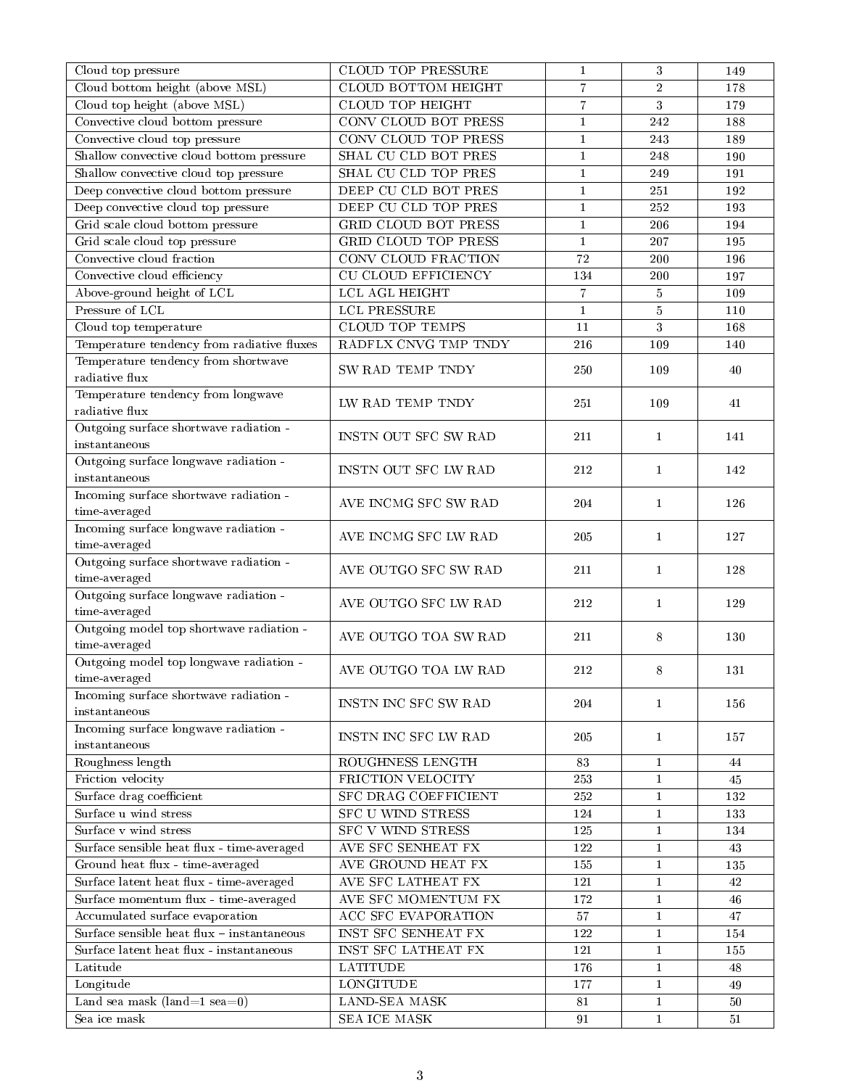| Cloud top pressure                         | <b>CLOUD TOP PRESSURE</b>   | $\mathbf{1}$   | 3              | 149    |
|--------------------------------------------|-----------------------------|----------------|----------------|--------|
| Cloud bottom height (above MSL)            | CLOUD BOTTOM HEIGHT         | $\overline{7}$ | $\overline{2}$ | 178    |
| Cloud top height (above MSL)               | <b>CLOUD TOP HEIGHT</b>     | $\overline{7}$ | 3              | 179    |
| Convective cloud bottom pressure           | CONV CLOUD BOT PRESS        | $\mathbf{1}$   | 242            | 188    |
| Convective cloud top pressure              | CONV CLOUD TOP PRESS        | $\mathbf{1}$   | 243            | 189    |
| Shallow convective cloud bottom pressure   | SHAL CU CLD BOT PRES        | $\mathbf{1}$   | 248            | 190    |
| Shallow convective cloud top pressure      | SHAL CU CLD TOP PRES        | $\mathbf{1}$   | 249            | 191    |
| Deep convective cloud bottom pressure      | DEEP CU CLD BOT PRES        | $\mathbf{1}$   | 251            | 192    |
| Deep convective cloud top pressure         | DEEP CU CLD TOP PRES        | $\mathbf{1}$   | 252            | 193    |
| Grid scale cloud bottom pressure           | <b>GRID CLOUD BOT PRESS</b> | $\mathbf{1}$   | 206            | 194    |
| Grid scale cloud top pressure              | GRID CLOUD TOP PRESS        | $\mathbf{1}$   | 207            | 195    |
| Convective cloud fraction                  | CONV CLOUD FRACTION         | 72             | 200            | 196    |
| Convective cloud efficiency                | <b>CU CLOUD EFFICIENCY</b>  | 134            | 200            | 197    |
| Above-ground height of LCL                 | LCL AGL HEIGHT              | $\overline{7}$ | $\bf 5$        | 109    |
| Pressure of LCL                            | LCL PRESSURE                | $\mathbf{1}$   | $\bf 5$        | 110    |
| Cloud top temperature                      | <b>CLOUD TOP TEMPS</b>      | 11             | 3              | 168    |
| Temperature tendency from radiative fluxes | RADFLX CNVG TMP TNDY        | 216            | 109            | 140    |
| Temperature tendency from shortwave        |                             |                |                |        |
| radiative flux                             | SW RAD TEMP TNDY            | 250            | 109            | 40     |
| Temperature tendency from longwave         |                             |                |                |        |
| $\rm radiative~flux$                       | LW RAD TEMP TNDY            | 251            | 109            | 41     |
| Outgoing surface shortwave radiation -     |                             |                |                |        |
| instantaneous                              | INSTN OUT SFC SW RAD        | 211            | $\mathbf{1}$   | 141    |
| Outgoing surface longwave radiation -      |                             |                |                |        |
| instantaneous                              | INSTN OUT SFC LW RAD        | 212            | $\mathbf{1}$   | 142    |
| Incoming surface shortwave radiation -     |                             |                |                |        |
| time-averaged                              | AVE INCMG SFC SW RAD        | 204            | $\mathbf{1}$   | 126    |
| Incoming surface longwave radiation -      |                             |                |                |        |
| time-averaged                              | AVE INCMG SFC LW RAD        | 205            | $\mathbf{1}$   | 127    |
| Outgoing surface shortwave radiation -     |                             |                |                |        |
| time-averaged                              | AVE OUTGO SFC SW RAD        | 211            | $\mathbf{1}$   | 128    |
| Outgoing surface longwave radiation -      |                             |                |                |        |
| time-averaged                              | AVE OUTGO SFC LW RAD        | 212            | $\mathbf{1}$   | 129    |
| Outgoing model top shortwave radiation -   |                             |                |                |        |
| time-averaged                              | AVE OUTGO TOA SW RAD        | 211            | 8              | 130    |
| Outgoing model top longwave radiation -    |                             |                |                |        |
| time-averaged                              | AVE OUTGO TOA LW RAD        | 212            | 8              | 131    |
| Incoming surface shortwave radiation -     |                             |                |                |        |
| instantaneous                              | INSTN INC SFC SW RAD        | 204            | $\mathbf{1}$   | 156    |
| Incoming surface longwave radiation -      |                             |                |                |        |
| instantaneous                              | INSTN INC SFC LW RAD        | 205            | $\mathbf{1}$   | 157    |
| Roughness length                           | ROUGHNESS LENGTH            | 83             | $\mathbf{1}$   | 44     |
| Friction velocity                          | FRICTION VELOCITY           | 253            | $\mathbf{1}$   | 45     |
| Surface drag coefficient                   | SFC DRAG COEFFICIENT        | $2\sqrt{52}$   | $\mathbf{1}$   | 132    |
| Surface u wind stress                      | SFC U WIND STRESS           | 124            | $\mathbf{1}$   | 133    |
| Surface v wind stress                      | <b>SFC V WIND STRESS</b>    | 125            | $\mathbf{1}$   | 134    |
| Surface sensible heat flux - time-averaged | <b>AVE SFC SENHEAT FX</b>   | 122            | $\mathbf{1}$   | 43     |
| Ground heat flux - time-averaged           | AVE GROUND HEAT FX          | 155            | $\mathbf{1}$   | 135    |
| Surface latent heat flux - time-averaged   | AVE SFC LATHEAT FX          | 121            | $\mathbf{1}$   | 42     |
| Surface momentum flux - time-averaged      | AVE SFC MOMENTUM FX         | 172            | $\mathbf{1}$   | $46\,$ |
| Accumulated surface evaporation            | ACC SFC EVAPORATION         | 57             | $\mathbf{1}$   | 47     |
| Surface sensible heat flux - instantaneous | INST SFC SENHEAT FX         | 122            |                |        |
|                                            |                             |                | 1              | 154    |
| Surface latent heat flux - instantaneous   | INST SFC LATHEAT FX         | 121            | 1              | 155    |
| Latitude                                   | <b>LATITUDE</b>             | 176            | $\mathbf{1}$   | $48\,$ |
| Longitude                                  | <b>LONGITUDE</b>            | 177            | $\mathbf{1}$   | 49     |
| Land sea mask (land=1 sea=0)               | LAND-SEA MASK               | 81             | $\mathbf{1}$   | $50\,$ |
| Sea ice mask                               | <b>SEA ICE MASK</b>         | 91             | $\mathbf{1}$   | 51     |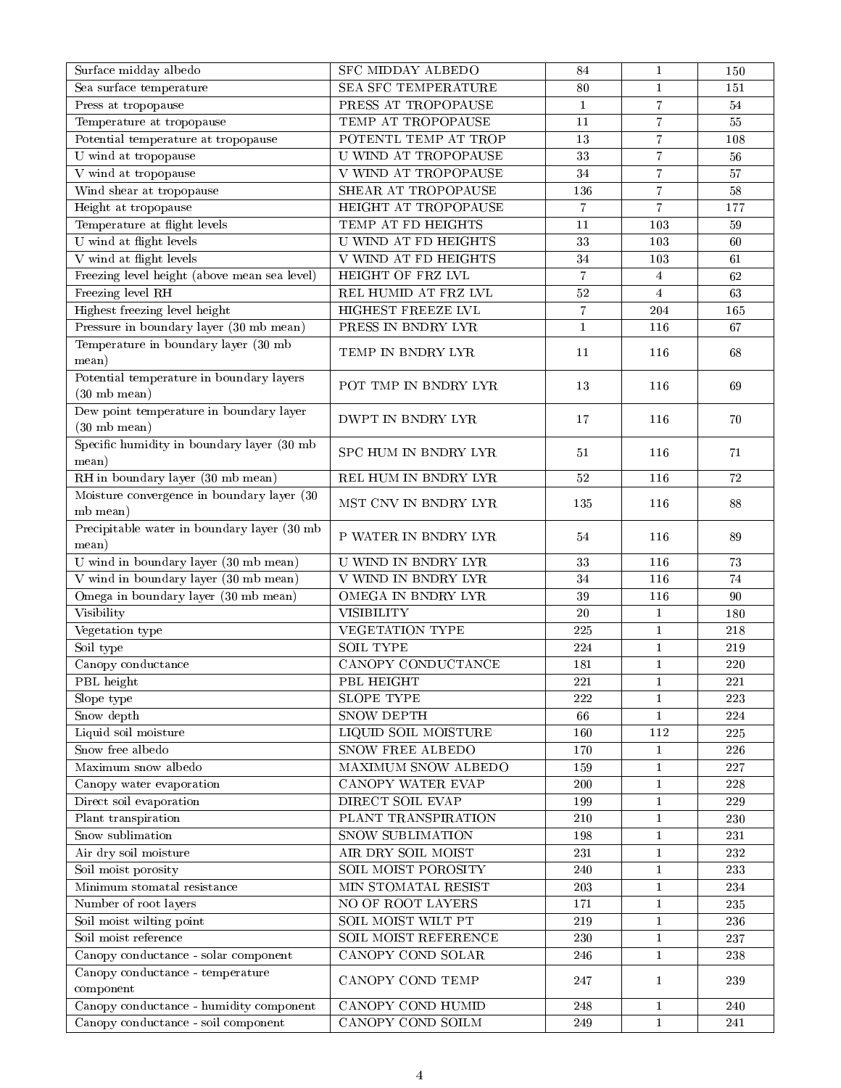| Surface midday albedo                                             | SFC MIDDAY ALBEDO           | 84             | $\mathbf{1}$            | 150                |
|-------------------------------------------------------------------|-----------------------------|----------------|-------------------------|--------------------|
| Sea surface temperature                                           | SEA SFC TEMPERATURE         | 80             | $\mathbf{1}$            | 151                |
| Press at tropopause                                               | PRESS AT TROPOPAUSE         | $\mathbf{1}$   | $\overline{7}$          | 54                 |
| Temperature at tropopause                                         | TEMP AT TROPOPAUSE          | 11             | $\overline{7}$          | 55                 |
| Potential temperature at tropopause                               | POTENTL TEMP AT TROP        | 13             | $\overline{7}$          | 108                |
| U wind at tropopause                                              | U WIND AT TROPOPAUSE        | 33             | $\overline{7}$          | 56                 |
| V wind at tropopause                                              | V WIND AT TROPOPAUSE        | 34             | $\overline{7}$          | 57                 |
| Wind shear at tropopause                                          | SHEAR AT TROPOPAUSE         | 136            | $\overline{7}$          | 58                 |
| Height at tropopause                                              | HEIGHT AT TROPOPAUSE        | $\overline{7}$ | $\overline{7}$          | 177                |
| Temperature at flight levels                                      | TEMP AT FD HEIGHTS          | 11             | 103                     | 59                 |
| U wind at flight levels                                           | <b>U WIND AT FD HEIGHTS</b> | 33             | 103                     | 60                 |
| V wind at flight levels                                           | V WIND AT FD HEIGHTS        | 34             | 103                     | 61                 |
| Freezing level height (above mean sea level)                      | HEIGHT OF FRZ LVL           | $\,7$          | $\overline{\mathbf{4}}$ | 62                 |
| Freezing level RH                                                 | REL HUMID AT FRZ LVL        | $52\,$         | $\overline{4}$          | 63                 |
| Highest freezing level height                                     | HIGHEST FREEZE LVL          | $\overline{7}$ | 204                     | 165                |
| Pressure in boundary layer (30 mb mean)                           | PRESS IN BNDRY LYR          | $\mathbf{1}$   | 116                     | 67                 |
| Temperature in boundary layer (30 mb                              |                             |                |                         |                    |
| mean)                                                             | TEMP IN BNDRY LYR           | 11             | 116                     | 68                 |
| Potential temperature in boundary layers                          | POT TMP IN BNDRY LYR        | 13             | 116                     | 69                 |
| $(30 \text{ mb mean})$                                            |                             |                |                         |                    |
| Dew point temperature in boundary layer<br>$(30 \text{ mb mean})$ | DWPT IN BNDRY LYR           | 17             | 116                     | 70                 |
| Specific humidity in boundary layer (30 mb<br>mean)               | SPC HUM IN BNDRY LYR        | 51             | 116                     | 71                 |
| RH in boundary layer (30 mb mean)                                 | REL HUM IN BNDRY LYR        | 52             | 116                     | 72                 |
| Moisture convergence in boundary layer (30                        |                             |                |                         |                    |
| mb mean)                                                          | MST CNV IN BNDRY LYR        | 135            | 116                     | 88                 |
| Precipitable water in boundary layer (30 mb                       |                             |                |                         |                    |
| mean)                                                             | P WATER IN BNDRY LYR        | 54             | 116                     | 89                 |
| U wind in boundary layer (30 mb mean)                             | U WIND IN BNDRY LYR         | 33             | 116                     | 73                 |
| V wind in boundary layer (30 mb mean)                             | V WIND IN BNDRY LYR         | 34             | 116                     | 74                 |
| Omega in boundary layer (30 mb mean)                              | OMEGA IN BNDRY LYR          | 39             | 116                     | 90                 |
| Visibility                                                        | <b>VISIBILITY</b>           | 20             | 1                       | 180                |
| Vegetation type                                                   | VEGETATION TYPE             | 225            | $\mathbf{1}$            | 218                |
| Soil type                                                         | <b>SOIL TYPE</b>            | 224            | $\mathbf{1}$            | 219                |
| Canopy conductance                                                | CANOPY CONDUCTANCE          | 181            | $1\,$                   | 220                |
| PBL height                                                        | PBL HEIGHT                  | 221            | $\mathbf{1}$            | 221                |
| Slope type                                                        | <b>SLOPE TYPE</b>           | 222            | $\mathbf{1}$            | 223                |
| Snow depth                                                        | SNOW DEPTH                  | 66             | $\mathbf{1}$            | 224                |
| Liquid soil moisture                                              | LIQUID SOIL MOISTURE        | 160            | 112                     | 225                |
| Snow free albedo                                                  | SNOW FREE ALBEDO            | 170            | $\mathbf{1}$            | 226                |
| Maximum snow albedo                                               | MAXIMUM SNOW ALBEDO         | 159            | $\mathbf 1$             | 227                |
| Canopy water evaporation                                          | CANOPY WATER EVAP           | 200            | $\mathbf{1}$            | 228                |
| Direct soil evaporation                                           | DIRECT SOIL EVAP            | 199            | $\mathbf{1}$            | 229                |
| Plant transpiration                                               | PLANT TRANSPIRATION         | 210            | $\mathbf{1}$            | 230                |
| Snow sublimation                                                  | SNOW SUBLIMATION            | 198            | $\mathbf{1}$            | 231                |
| Air dry soil moisture                                             | AIR DRY SOIL MOIST          | 231            | $\mathbf{1}$            | 232                |
| Soil moist porosity                                               | SOIL MOIST POROSITY         | 240            | $\mathbf{1}$            | 233                |
| Minimum stomatal resistance                                       | MIN STOMATAL RESIST         | 203            | $\mathbf{1}$            | 234                |
| Number of root layers                                             | NO OF ROOT LAYERS           | 171            | $\mathbf{1}$            | 235                |
| Soil moist wilting point                                          | SOIL MOIST WILT PT          | $2\sqrt{19}$   | $\mathbf 1$             | 236                |
| Soil moist reference                                              | SOIL MOIST REFERENCE        | 230            | $\mathbf{1}$            | 237                |
| Canopy conductance - solar component                              | CANOPY COND SOLAR           | 246            | $\mathbf{1}$            | $\boldsymbol{238}$ |
| Canopy conductance - temperature                                  |                             |                |                         |                    |
| component                                                         | CANOPY COND TEMP            | 247            | $\mathbf{1}$            | 239                |
| Canopy conductance - humidity component                           | CANOPY COND HUMID           | 248            | $\mathbf{1}$            | 240                |
| Canopy conductance - soil component                               | CANOPY COND SOILM           | 249            | $\mathbf{1}$            | 241                |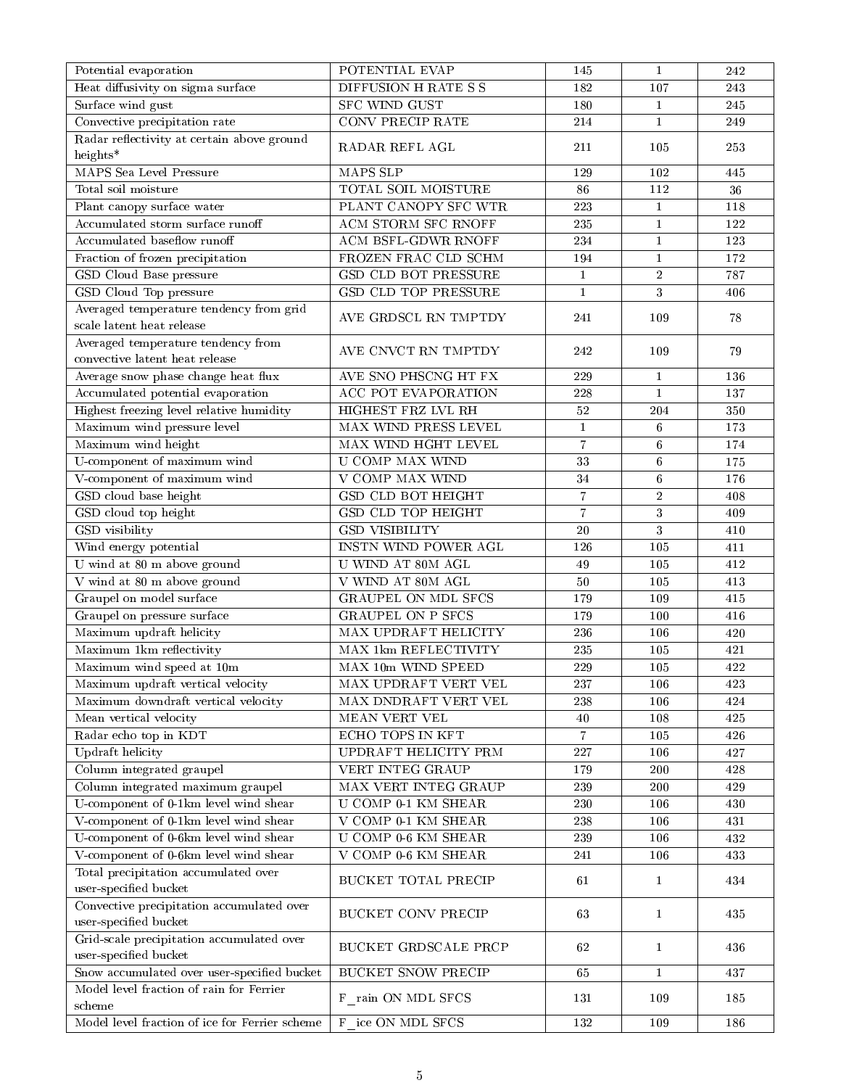| Potential evaporation                                                | POTENTIAL EVAP             | 145              | $\mathbf{1}$    | 242 |
|----------------------------------------------------------------------|----------------------------|------------------|-----------------|-----|
| Heat diffusivity on sigma surface                                    | DIFFUSION H RATE S S       | 182              | 107             | 243 |
| Surface wind gust                                                    | SFC WIND GUST              | 180              | $\mathbf{1}$    | 245 |
| Convective precipitation rate                                        | CONV PRECIP RATE           | 214              | $\mathbf{1}$    | 249 |
| Radar reflectivity at certain above ground<br>heights*               | RADAR REFL AGL             | 211              | 105             | 253 |
| MAPS Sea Level Pressure                                              | MAPS SLP                   | 129              | 102             | 445 |
| Total soil moisture                                                  | TOTAL SOIL MOISTURE        | 86               | 112             | 36  |
| Plant canopy surface water                                           | PLANT CANOPY SFC WTR       | 223              | $\mathbf{1}$    | 118 |
| Accumulated storm surface runoff                                     | <b>ACM STORM SFC RNOFF</b> | 235              | $\mathbf{1}$    | 122 |
| Accumulated baseflow runoff                                          | <b>ACM BSFL-GDWR RNOFF</b> | 234              | $\mathbf{1}$    | 123 |
| Fraction of frozen precipitation                                     | FROZEN FRAC CLD SCHM       | 194              | $\mathbf{1}$    | 172 |
|                                                                      | GSD CLD BOT PRESSURE       |                  | $\,2\,$         | 787 |
| GSD Cloud Base pressure                                              | GSD CLD TOP PRESSURE       | $\mathbf{1}$     | 3               |     |
| GSD Cloud Top pressure                                               |                            | $\mathbf{1}$     |                 | 406 |
| Averaged temperature tendency from grid<br>scale latent heat release | AVE GRDSCL RN TMPTDY       | 241              | 109             | 78  |
| Averaged temperature tendency from<br>convective latent heat release | AVE CNVCT RN TMPTDY        | 242              | 109             | 79  |
| Average snow phase change heat flux                                  | AVE SNO PHSCNG HT FX       | 229              | $\mathbf{1}$    | 136 |
| Accumulated potential evaporation                                    | <b>ACC POT EVAPORATION</b> | 228              | $\mathbf{1}$    | 137 |
| Highest freezing level relative humidity                             | HIGHEST FRZ LVL RH         | $52\,$           | 204             | 350 |
| Maximum wind pressure level                                          | MAX WIND PRESS LEVEL       | $1\,$            | $6\phantom{.}6$ | 173 |
| Maximum wind height                                                  | MAX WIND HGHT LEVEL        | $\boldsymbol{7}$ | 6               | 174 |
| U-component of maximum wind                                          | U COMP MAX WIND            | 33               | $\,6\,$         | 175 |
| V-component of maximum wind                                          | V COMP MAX WIND            | 34               | $\,6\,$         | 176 |
| GSD cloud base height                                                | <b>GSD CLD BOT HEIGHT</b>  | $\boldsymbol{7}$ | $\sqrt{2}$      | 408 |
| GSD cloud top height                                                 | <b>GSD CLD TOP HEIGHT</b>  | $\overline{7}$   | $\sqrt{3}$      | 409 |
| GSD visibility                                                       | <b>GSD VISIBILITY</b>      | $20\,$           | $\mathbf{3}$    | 410 |
| Wind energy potential                                                | INSTN WIND POWER AGL       | 126              | 105             | 411 |
| U wind at 80 m above ground                                          | U WIND AT 80M AGL          | 49               | 105             | 412 |
| V wind at 80 m above ground                                          | V WIND AT 80M AGL          | 50               | 105             | 413 |
|                                                                      | <b>GRAUPEL ON MDL SFCS</b> |                  |                 |     |
| Graupel on model surface                                             |                            | 179              | 109             | 415 |
| Graupel on pressure surface                                          | <b>GRAUPEL ON P SFCS</b>   | 179              | 100             | 416 |
| Maximum updraft helicity                                             | MAX UPDRAFT HELICITY       | 236              | 106             | 420 |
| Maximum 1km reflectivity                                             | MAX 1km REFLECTIVITY       | 235              | 105             | 421 |
| Maximum wind speed at 10m                                            | MAX 10m WIND SPEED         | 229              | 105             | 422 |
| Maximum updraft vertical velocity                                    | MAX UPDRAFT VERT VEL       | 237              | 106             | 423 |
| Maximum downdraft vertical velocity                                  | MAX DNDRAFT VERT VEL       | 238              | 106             | 424 |
| Mean vertical velocity                                               | MEAN VERT VEL              | 40               | 108             | 425 |
| Radar echo top in KDT                                                | ECHO TOPS IN KFT           | $\overline{7}$   | 105             | 426 |
| Updraft helicity                                                     | UPDRAFT HELICITY PRM       | 227              | 106             | 427 |
| Column integrated graupel                                            | VERT INTEG GRAUP           | 179              | 200             | 428 |
| Column integrated maximum graupel                                    | MAX VERT INTEG GRAUP       | 239              | 200             | 429 |
| U-component of 0-1km level wind shear                                | U COMP 0-1 KM SHEAR        | 230              | 106             | 430 |
| V-component of 0-1km level wind shear                                | V COMP 0-1 KM SHEAR        | $2\sqrt{3}8$     | 106             | 431 |
| U-component of 0-6km level wind shear                                | <b>U COMP 0-6 KM SHEAR</b> | 239              | 106             | 432 |
| V-component of 0-6km level wind shear                                | V COMP 0-6 KM SHEAR        | 241              | 106             | 433 |
| Total precipitation accumulated over<br>user-specified bucket        | <b>BUCKET TOTAL PRECIP</b> | 61               | 1               | 434 |
| Convective precipitation accumulated over<br>user-specified bucket   | BUCKET CONV PRECIP         | 63               | $\mathbf{1}$    | 435 |
| Grid-scale precipitation accumulated over<br>user-specified bucket   | BUCKET GRDSCALE PRCP       | 62               | $\mathbf{1}$    | 436 |
| Snow accumulated over user-specified bucket                          | <b>BUCKET SNOW PRECIP</b>  | 65               | $\mathbf{1}$    | 437 |
| Model level fraction of rain for Ferrier<br>scheme                   | F rain ON MDL SFCS         | 131              | 109             | 185 |
| Model level fraction of ice for Ferrier scheme                       | F ice ON MDL SFCS          | 132              | 109             | 186 |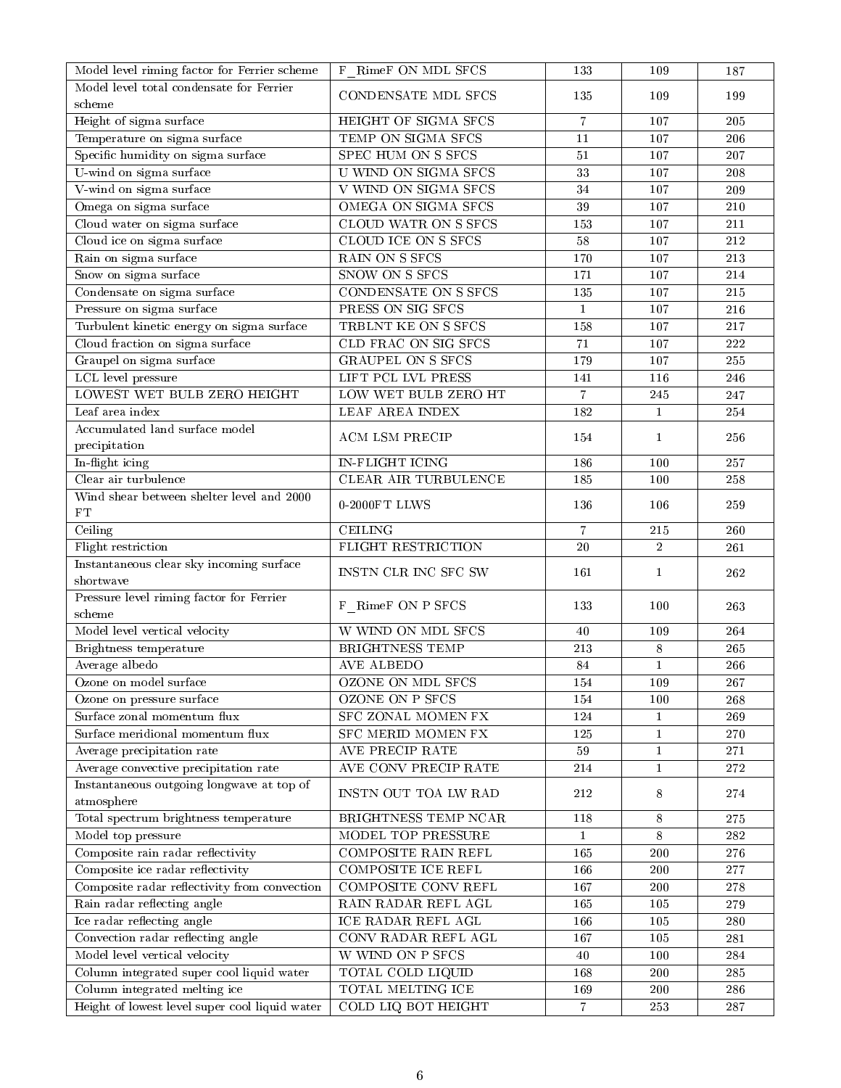| Model level total condensate for Ferrier<br>CONDENSATE MDL SFCS<br>199<br>135<br>109<br>scheme<br>Height of sigma surface<br>HEIGHT OF SIGMA SFCS<br>$\overline{7}$<br>107<br>205<br>Temperature on sigma surface<br>TEMP ON SIGMA SFCS<br>11<br>107<br>206<br>Specific humidity on sigma surface<br>SPEC HUM ON S SFCS<br>51<br>107<br>207<br>U-wind on sigma surface<br>U WIND ON SIGMA SFCS<br>33<br>208<br>107<br>V-wind on sigma surface<br>V WIND ON SIGMA SFCS<br>107<br>34<br>209<br>Omega on sigma surface<br>OMEGA ON SIGMA SFCS<br>39<br>107<br>210<br>Cloud water on sigma surface<br>CLOUD WATR ON S SFCS<br>153<br>107<br>211<br>Cloud ice on sigma surface<br>CLOUD ICE ON S SFCS<br>58<br>107<br>212<br>RAIN ON S SFCS<br>Rain on sigma surface<br>170<br>107<br>213<br>Snow on sigma surface<br>SNOW ON S SFCS<br>171<br>107<br>$\sqrt{214}$<br>Condensate on sigma surface<br>CONDENSATE ON S SFCS<br>135<br>107<br>215<br>Pressure on sigma surface<br>PRESS ON SIG SFCS<br>$\mathbf{1}$<br>107<br>216<br>Turbulent kinetic energy on sigma surface<br>TRBLNT KE ON S SFCS<br>158<br>107<br>217<br>Cloud fraction on sigma surface<br>CLD FRAC ON SIG SFCS<br>71<br>222<br>107<br><b>GRAUPEL ON S SFCS</b><br>Graupel on sigma surface<br>179<br>107<br>255<br>LCL level pressure<br>LIFT PCL LVL PRESS<br>141<br>116<br>246<br>LOWEST WET BULB ZERO HEIGHT<br>$\overline{7}$<br>LOW WET BULB ZERO HT<br>245<br>247<br><b>LEAF AREA INDEX</b><br>Leaf area index<br>182<br>$\mathbf{1}$<br>254<br>Accumulated land surface model<br>ACM LSM PRECIP<br>154<br>$\mathbf{1}$<br>256<br>precipitation<br>In-flight icing<br><b>IN-FLIGHT ICING</b><br>186<br>100<br>257<br>Clear air turbulence<br>CLEAR AIR TURBULENCE<br>185<br>100<br>258<br>Wind shear between shelter level and 2000<br>$0-2000FT$ LLWS<br>136<br>106<br>259<br>${\rm FT}$<br>Ceiling<br><b>CEILING</b><br>$\overline{7}$<br>260<br>215<br>Flight restriction<br>$20\,$<br>FLIGHT RESTRICTION<br>$\overline{2}$<br>$261\,$<br>Instantaneous clear sky incoming surface<br>262<br>INSTN CLR INC SFC SW<br>161<br>$\mathbf{1}$<br>shortwave<br>Pressure level riming factor for Ferrier<br>F RimeF ON P SFCS<br>133<br>100<br>263<br>scheme<br>Model level vertical velocity<br>W WIND ON MDL SFCS<br>264<br>40<br>109<br><b>BRIGHTNESS TEMP</b><br>265<br>Brightness temperature<br>$2\sqrt{13}$<br>$\,8\,$<br>$\mathbf 1$<br>Average albedo<br><b>AVE ALBEDO</b><br>84<br>266<br>OZONE ON MDL SFCS<br>154<br>109<br>Ozone on model surface<br>267<br>OZONE ON P SFCS<br>154<br>268<br>100<br>Ozone on pressure surface<br>Surface zonal momentum flux<br>SFC ZONAL MOMEN FX<br>124<br>269<br>$\mathbf{1}$<br><b>SFC MERID MOMEN FX</b><br>Surface meridional momentum flux<br>125<br>$\mathbf{1}$<br>270<br>AVE PRECIP RATE<br>Average precipitation rate<br>59<br>$2\,71$<br>1<br>AVE CONV PRECIP RATE<br>Average convective precipitation rate<br>214<br>$\mathbf{1}$<br>272<br>Instantaneous outgoing longwave at top of<br>INSTN OUT TOA LW RAD<br>212<br>8<br>274<br>atmosphere<br>Total spectrum brightness temperature<br>$8\phantom{.0}$<br>$275\,$<br>BRIGHTNESS TEMP NCAR<br>118<br>Model top pressure<br>MODEL TOP PRESSURE<br>8<br>$\bf 282$<br>1<br>Composite rain radar reflectivity<br>COMPOSITE RAIN REFL<br>165<br>200<br>276<br>Composite ice radar reflectivity<br>COMPOSITE ICE REFL<br>166<br>200<br>$277\,$<br>Composite radar reflectivity from convection<br>COMPOSITE CONV REFL<br>167<br>200<br>278<br>Rain radar reflecting angle<br>RAIN RADAR REFL AGL<br>$279\,$<br>165<br>105<br>Ice radar reflecting angle<br>ICE RADAR REFL AGL<br>166<br>105<br>280<br>Convection radar reflecting angle<br>CONV RADAR REFL AGL<br>167<br>105<br>281<br>Model level vertical velocity<br>W WIND ON P SFCS<br>284<br>40<br>100<br>Column integrated super cool liquid water<br>TOTAL COLD LIQUID<br>168<br>200<br>285<br>Column integrated melting ice<br>TOTAL MELTING ICE<br>169<br>200<br>286<br>Height of lowest level super cool liquid water<br>COLD LIQ BOT HEIGHT<br>$\overline{7}$<br>253<br>$287\,$ | Model level riming factor for Ferrier scheme | F RimeF ON MDL SFCS | 133 | 109 | 187 |
|--------------------------------------------------------------------------------------------------------------------------------------------------------------------------------------------------------------------------------------------------------------------------------------------------------------------------------------------------------------------------------------------------------------------------------------------------------------------------------------------------------------------------------------------------------------------------------------------------------------------------------------------------------------------------------------------------------------------------------------------------------------------------------------------------------------------------------------------------------------------------------------------------------------------------------------------------------------------------------------------------------------------------------------------------------------------------------------------------------------------------------------------------------------------------------------------------------------------------------------------------------------------------------------------------------------------------------------------------------------------------------------------------------------------------------------------------------------------------------------------------------------------------------------------------------------------------------------------------------------------------------------------------------------------------------------------------------------------------------------------------------------------------------------------------------------------------------------------------------------------------------------------------------------------------------------------------------------------------------------------------------------------------------------------------------------------------------------------------------------------------------------------------------------------------------------------------------------------------------------------------------------------------------------------------------------------------------------------------------------------------------------------------------------------------------------------------------------------------------------------------------------------------------------------------------------------------------------------------------------------------------------------------------------------------------------------------------------------------------------------------------------------------------------------------------------------------------------------------------------------------------------------------------------------------------------------------------------------------------------------------------------------------------------------------------------------------------------------------------------------------------------------------------------------------------------------------------------------------------------------------------------------------------------------------------------------------------------------------------------------------------------------------------------------------------------------------------------------------------------------------------------------------------------------------------------------------------------------------------------------------------------------------------------------------------------------------------------------------------------------------------------------------------------------------------------------------------------------------------------------------------------------------------------------------------------------------------------------------------------------------------------------------------------------------------------------------------------------------------------------|----------------------------------------------|---------------------|-----|-----|-----|
|                                                                                                                                                                                                                                                                                                                                                                                                                                                                                                                                                                                                                                                                                                                                                                                                                                                                                                                                                                                                                                                                                                                                                                                                                                                                                                                                                                                                                                                                                                                                                                                                                                                                                                                                                                                                                                                                                                                                                                                                                                                                                                                                                                                                                                                                                                                                                                                                                                                                                                                                                                                                                                                                                                                                                                                                                                                                                                                                                                                                                                                                                                                                                                                                                                                                                                                                                                                                                                                                                                                                                                                                                                                                                                                                                                                                                                                                                                                                                                                                                                                                                                                    |                                              |                     |     |     |     |
|                                                                                                                                                                                                                                                                                                                                                                                                                                                                                                                                                                                                                                                                                                                                                                                                                                                                                                                                                                                                                                                                                                                                                                                                                                                                                                                                                                                                                                                                                                                                                                                                                                                                                                                                                                                                                                                                                                                                                                                                                                                                                                                                                                                                                                                                                                                                                                                                                                                                                                                                                                                                                                                                                                                                                                                                                                                                                                                                                                                                                                                                                                                                                                                                                                                                                                                                                                                                                                                                                                                                                                                                                                                                                                                                                                                                                                                                                                                                                                                                                                                                                                                    |                                              |                     |     |     |     |
|                                                                                                                                                                                                                                                                                                                                                                                                                                                                                                                                                                                                                                                                                                                                                                                                                                                                                                                                                                                                                                                                                                                                                                                                                                                                                                                                                                                                                                                                                                                                                                                                                                                                                                                                                                                                                                                                                                                                                                                                                                                                                                                                                                                                                                                                                                                                                                                                                                                                                                                                                                                                                                                                                                                                                                                                                                                                                                                                                                                                                                                                                                                                                                                                                                                                                                                                                                                                                                                                                                                                                                                                                                                                                                                                                                                                                                                                                                                                                                                                                                                                                                                    |                                              |                     |     |     |     |
|                                                                                                                                                                                                                                                                                                                                                                                                                                                                                                                                                                                                                                                                                                                                                                                                                                                                                                                                                                                                                                                                                                                                                                                                                                                                                                                                                                                                                                                                                                                                                                                                                                                                                                                                                                                                                                                                                                                                                                                                                                                                                                                                                                                                                                                                                                                                                                                                                                                                                                                                                                                                                                                                                                                                                                                                                                                                                                                                                                                                                                                                                                                                                                                                                                                                                                                                                                                                                                                                                                                                                                                                                                                                                                                                                                                                                                                                                                                                                                                                                                                                                                                    |                                              |                     |     |     |     |
|                                                                                                                                                                                                                                                                                                                                                                                                                                                                                                                                                                                                                                                                                                                                                                                                                                                                                                                                                                                                                                                                                                                                                                                                                                                                                                                                                                                                                                                                                                                                                                                                                                                                                                                                                                                                                                                                                                                                                                                                                                                                                                                                                                                                                                                                                                                                                                                                                                                                                                                                                                                                                                                                                                                                                                                                                                                                                                                                                                                                                                                                                                                                                                                                                                                                                                                                                                                                                                                                                                                                                                                                                                                                                                                                                                                                                                                                                                                                                                                                                                                                                                                    |                                              |                     |     |     |     |
|                                                                                                                                                                                                                                                                                                                                                                                                                                                                                                                                                                                                                                                                                                                                                                                                                                                                                                                                                                                                                                                                                                                                                                                                                                                                                                                                                                                                                                                                                                                                                                                                                                                                                                                                                                                                                                                                                                                                                                                                                                                                                                                                                                                                                                                                                                                                                                                                                                                                                                                                                                                                                                                                                                                                                                                                                                                                                                                                                                                                                                                                                                                                                                                                                                                                                                                                                                                                                                                                                                                                                                                                                                                                                                                                                                                                                                                                                                                                                                                                                                                                                                                    |                                              |                     |     |     |     |
|                                                                                                                                                                                                                                                                                                                                                                                                                                                                                                                                                                                                                                                                                                                                                                                                                                                                                                                                                                                                                                                                                                                                                                                                                                                                                                                                                                                                                                                                                                                                                                                                                                                                                                                                                                                                                                                                                                                                                                                                                                                                                                                                                                                                                                                                                                                                                                                                                                                                                                                                                                                                                                                                                                                                                                                                                                                                                                                                                                                                                                                                                                                                                                                                                                                                                                                                                                                                                                                                                                                                                                                                                                                                                                                                                                                                                                                                                                                                                                                                                                                                                                                    |                                              |                     |     |     |     |
|                                                                                                                                                                                                                                                                                                                                                                                                                                                                                                                                                                                                                                                                                                                                                                                                                                                                                                                                                                                                                                                                                                                                                                                                                                                                                                                                                                                                                                                                                                                                                                                                                                                                                                                                                                                                                                                                                                                                                                                                                                                                                                                                                                                                                                                                                                                                                                                                                                                                                                                                                                                                                                                                                                                                                                                                                                                                                                                                                                                                                                                                                                                                                                                                                                                                                                                                                                                                                                                                                                                                                                                                                                                                                                                                                                                                                                                                                                                                                                                                                                                                                                                    |                                              |                     |     |     |     |
|                                                                                                                                                                                                                                                                                                                                                                                                                                                                                                                                                                                                                                                                                                                                                                                                                                                                                                                                                                                                                                                                                                                                                                                                                                                                                                                                                                                                                                                                                                                                                                                                                                                                                                                                                                                                                                                                                                                                                                                                                                                                                                                                                                                                                                                                                                                                                                                                                                                                                                                                                                                                                                                                                                                                                                                                                                                                                                                                                                                                                                                                                                                                                                                                                                                                                                                                                                                                                                                                                                                                                                                                                                                                                                                                                                                                                                                                                                                                                                                                                                                                                                                    |                                              |                     |     |     |     |
|                                                                                                                                                                                                                                                                                                                                                                                                                                                                                                                                                                                                                                                                                                                                                                                                                                                                                                                                                                                                                                                                                                                                                                                                                                                                                                                                                                                                                                                                                                                                                                                                                                                                                                                                                                                                                                                                                                                                                                                                                                                                                                                                                                                                                                                                                                                                                                                                                                                                                                                                                                                                                                                                                                                                                                                                                                                                                                                                                                                                                                                                                                                                                                                                                                                                                                                                                                                                                                                                                                                                                                                                                                                                                                                                                                                                                                                                                                                                                                                                                                                                                                                    |                                              |                     |     |     |     |
|                                                                                                                                                                                                                                                                                                                                                                                                                                                                                                                                                                                                                                                                                                                                                                                                                                                                                                                                                                                                                                                                                                                                                                                                                                                                                                                                                                                                                                                                                                                                                                                                                                                                                                                                                                                                                                                                                                                                                                                                                                                                                                                                                                                                                                                                                                                                                                                                                                                                                                                                                                                                                                                                                                                                                                                                                                                                                                                                                                                                                                                                                                                                                                                                                                                                                                                                                                                                                                                                                                                                                                                                                                                                                                                                                                                                                                                                                                                                                                                                                                                                                                                    |                                              |                     |     |     |     |
|                                                                                                                                                                                                                                                                                                                                                                                                                                                                                                                                                                                                                                                                                                                                                                                                                                                                                                                                                                                                                                                                                                                                                                                                                                                                                                                                                                                                                                                                                                                                                                                                                                                                                                                                                                                                                                                                                                                                                                                                                                                                                                                                                                                                                                                                                                                                                                                                                                                                                                                                                                                                                                                                                                                                                                                                                                                                                                                                                                                                                                                                                                                                                                                                                                                                                                                                                                                                                                                                                                                                                                                                                                                                                                                                                                                                                                                                                                                                                                                                                                                                                                                    |                                              |                     |     |     |     |
|                                                                                                                                                                                                                                                                                                                                                                                                                                                                                                                                                                                                                                                                                                                                                                                                                                                                                                                                                                                                                                                                                                                                                                                                                                                                                                                                                                                                                                                                                                                                                                                                                                                                                                                                                                                                                                                                                                                                                                                                                                                                                                                                                                                                                                                                                                                                                                                                                                                                                                                                                                                                                                                                                                                                                                                                                                                                                                                                                                                                                                                                                                                                                                                                                                                                                                                                                                                                                                                                                                                                                                                                                                                                                                                                                                                                                                                                                                                                                                                                                                                                                                                    |                                              |                     |     |     |     |
|                                                                                                                                                                                                                                                                                                                                                                                                                                                                                                                                                                                                                                                                                                                                                                                                                                                                                                                                                                                                                                                                                                                                                                                                                                                                                                                                                                                                                                                                                                                                                                                                                                                                                                                                                                                                                                                                                                                                                                                                                                                                                                                                                                                                                                                                                                                                                                                                                                                                                                                                                                                                                                                                                                                                                                                                                                                                                                                                                                                                                                                                                                                                                                                                                                                                                                                                                                                                                                                                                                                                                                                                                                                                                                                                                                                                                                                                                                                                                                                                                                                                                                                    |                                              |                     |     |     |     |
|                                                                                                                                                                                                                                                                                                                                                                                                                                                                                                                                                                                                                                                                                                                                                                                                                                                                                                                                                                                                                                                                                                                                                                                                                                                                                                                                                                                                                                                                                                                                                                                                                                                                                                                                                                                                                                                                                                                                                                                                                                                                                                                                                                                                                                                                                                                                                                                                                                                                                                                                                                                                                                                                                                                                                                                                                                                                                                                                                                                                                                                                                                                                                                                                                                                                                                                                                                                                                                                                                                                                                                                                                                                                                                                                                                                                                                                                                                                                                                                                                                                                                                                    |                                              |                     |     |     |     |
|                                                                                                                                                                                                                                                                                                                                                                                                                                                                                                                                                                                                                                                                                                                                                                                                                                                                                                                                                                                                                                                                                                                                                                                                                                                                                                                                                                                                                                                                                                                                                                                                                                                                                                                                                                                                                                                                                                                                                                                                                                                                                                                                                                                                                                                                                                                                                                                                                                                                                                                                                                                                                                                                                                                                                                                                                                                                                                                                                                                                                                                                                                                                                                                                                                                                                                                                                                                                                                                                                                                                                                                                                                                                                                                                                                                                                                                                                                                                                                                                                                                                                                                    |                                              |                     |     |     |     |
|                                                                                                                                                                                                                                                                                                                                                                                                                                                                                                                                                                                                                                                                                                                                                                                                                                                                                                                                                                                                                                                                                                                                                                                                                                                                                                                                                                                                                                                                                                                                                                                                                                                                                                                                                                                                                                                                                                                                                                                                                                                                                                                                                                                                                                                                                                                                                                                                                                                                                                                                                                                                                                                                                                                                                                                                                                                                                                                                                                                                                                                                                                                                                                                                                                                                                                                                                                                                                                                                                                                                                                                                                                                                                                                                                                                                                                                                                                                                                                                                                                                                                                                    |                                              |                     |     |     |     |
|                                                                                                                                                                                                                                                                                                                                                                                                                                                                                                                                                                                                                                                                                                                                                                                                                                                                                                                                                                                                                                                                                                                                                                                                                                                                                                                                                                                                                                                                                                                                                                                                                                                                                                                                                                                                                                                                                                                                                                                                                                                                                                                                                                                                                                                                                                                                                                                                                                                                                                                                                                                                                                                                                                                                                                                                                                                                                                                                                                                                                                                                                                                                                                                                                                                                                                                                                                                                                                                                                                                                                                                                                                                                                                                                                                                                                                                                                                                                                                                                                                                                                                                    |                                              |                     |     |     |     |
|                                                                                                                                                                                                                                                                                                                                                                                                                                                                                                                                                                                                                                                                                                                                                                                                                                                                                                                                                                                                                                                                                                                                                                                                                                                                                                                                                                                                                                                                                                                                                                                                                                                                                                                                                                                                                                                                                                                                                                                                                                                                                                                                                                                                                                                                                                                                                                                                                                                                                                                                                                                                                                                                                                                                                                                                                                                                                                                                                                                                                                                                                                                                                                                                                                                                                                                                                                                                                                                                                                                                                                                                                                                                                                                                                                                                                                                                                                                                                                                                                                                                                                                    |                                              |                     |     |     |     |
|                                                                                                                                                                                                                                                                                                                                                                                                                                                                                                                                                                                                                                                                                                                                                                                                                                                                                                                                                                                                                                                                                                                                                                                                                                                                                                                                                                                                                                                                                                                                                                                                                                                                                                                                                                                                                                                                                                                                                                                                                                                                                                                                                                                                                                                                                                                                                                                                                                                                                                                                                                                                                                                                                                                                                                                                                                                                                                                                                                                                                                                                                                                                                                                                                                                                                                                                                                                                                                                                                                                                                                                                                                                                                                                                                                                                                                                                                                                                                                                                                                                                                                                    |                                              |                     |     |     |     |
|                                                                                                                                                                                                                                                                                                                                                                                                                                                                                                                                                                                                                                                                                                                                                                                                                                                                                                                                                                                                                                                                                                                                                                                                                                                                                                                                                                                                                                                                                                                                                                                                                                                                                                                                                                                                                                                                                                                                                                                                                                                                                                                                                                                                                                                                                                                                                                                                                                                                                                                                                                                                                                                                                                                                                                                                                                                                                                                                                                                                                                                                                                                                                                                                                                                                                                                                                                                                                                                                                                                                                                                                                                                                                                                                                                                                                                                                                                                                                                                                                                                                                                                    |                                              |                     |     |     |     |
|                                                                                                                                                                                                                                                                                                                                                                                                                                                                                                                                                                                                                                                                                                                                                                                                                                                                                                                                                                                                                                                                                                                                                                                                                                                                                                                                                                                                                                                                                                                                                                                                                                                                                                                                                                                                                                                                                                                                                                                                                                                                                                                                                                                                                                                                                                                                                                                                                                                                                                                                                                                                                                                                                                                                                                                                                                                                                                                                                                                                                                                                                                                                                                                                                                                                                                                                                                                                                                                                                                                                                                                                                                                                                                                                                                                                                                                                                                                                                                                                                                                                                                                    |                                              |                     |     |     |     |
|                                                                                                                                                                                                                                                                                                                                                                                                                                                                                                                                                                                                                                                                                                                                                                                                                                                                                                                                                                                                                                                                                                                                                                                                                                                                                                                                                                                                                                                                                                                                                                                                                                                                                                                                                                                                                                                                                                                                                                                                                                                                                                                                                                                                                                                                                                                                                                                                                                                                                                                                                                                                                                                                                                                                                                                                                                                                                                                                                                                                                                                                                                                                                                                                                                                                                                                                                                                                                                                                                                                                                                                                                                                                                                                                                                                                                                                                                                                                                                                                                                                                                                                    |                                              |                     |     |     |     |
|                                                                                                                                                                                                                                                                                                                                                                                                                                                                                                                                                                                                                                                                                                                                                                                                                                                                                                                                                                                                                                                                                                                                                                                                                                                                                                                                                                                                                                                                                                                                                                                                                                                                                                                                                                                                                                                                                                                                                                                                                                                                                                                                                                                                                                                                                                                                                                                                                                                                                                                                                                                                                                                                                                                                                                                                                                                                                                                                                                                                                                                                                                                                                                                                                                                                                                                                                                                                                                                                                                                                                                                                                                                                                                                                                                                                                                                                                                                                                                                                                                                                                                                    |                                              |                     |     |     |     |
|                                                                                                                                                                                                                                                                                                                                                                                                                                                                                                                                                                                                                                                                                                                                                                                                                                                                                                                                                                                                                                                                                                                                                                                                                                                                                                                                                                                                                                                                                                                                                                                                                                                                                                                                                                                                                                                                                                                                                                                                                                                                                                                                                                                                                                                                                                                                                                                                                                                                                                                                                                                                                                                                                                                                                                                                                                                                                                                                                                                                                                                                                                                                                                                                                                                                                                                                                                                                                                                                                                                                                                                                                                                                                                                                                                                                                                                                                                                                                                                                                                                                                                                    |                                              |                     |     |     |     |
|                                                                                                                                                                                                                                                                                                                                                                                                                                                                                                                                                                                                                                                                                                                                                                                                                                                                                                                                                                                                                                                                                                                                                                                                                                                                                                                                                                                                                                                                                                                                                                                                                                                                                                                                                                                                                                                                                                                                                                                                                                                                                                                                                                                                                                                                                                                                                                                                                                                                                                                                                                                                                                                                                                                                                                                                                                                                                                                                                                                                                                                                                                                                                                                                                                                                                                                                                                                                                                                                                                                                                                                                                                                                                                                                                                                                                                                                                                                                                                                                                                                                                                                    |                                              |                     |     |     |     |
|                                                                                                                                                                                                                                                                                                                                                                                                                                                                                                                                                                                                                                                                                                                                                                                                                                                                                                                                                                                                                                                                                                                                                                                                                                                                                                                                                                                                                                                                                                                                                                                                                                                                                                                                                                                                                                                                                                                                                                                                                                                                                                                                                                                                                                                                                                                                                                                                                                                                                                                                                                                                                                                                                                                                                                                                                                                                                                                                                                                                                                                                                                                                                                                                                                                                                                                                                                                                                                                                                                                                                                                                                                                                                                                                                                                                                                                                                                                                                                                                                                                                                                                    |                                              |                     |     |     |     |
|                                                                                                                                                                                                                                                                                                                                                                                                                                                                                                                                                                                                                                                                                                                                                                                                                                                                                                                                                                                                                                                                                                                                                                                                                                                                                                                                                                                                                                                                                                                                                                                                                                                                                                                                                                                                                                                                                                                                                                                                                                                                                                                                                                                                                                                                                                                                                                                                                                                                                                                                                                                                                                                                                                                                                                                                                                                                                                                                                                                                                                                                                                                                                                                                                                                                                                                                                                                                                                                                                                                                                                                                                                                                                                                                                                                                                                                                                                                                                                                                                                                                                                                    |                                              |                     |     |     |     |
|                                                                                                                                                                                                                                                                                                                                                                                                                                                                                                                                                                                                                                                                                                                                                                                                                                                                                                                                                                                                                                                                                                                                                                                                                                                                                                                                                                                                                                                                                                                                                                                                                                                                                                                                                                                                                                                                                                                                                                                                                                                                                                                                                                                                                                                                                                                                                                                                                                                                                                                                                                                                                                                                                                                                                                                                                                                                                                                                                                                                                                                                                                                                                                                                                                                                                                                                                                                                                                                                                                                                                                                                                                                                                                                                                                                                                                                                                                                                                                                                                                                                                                                    |                                              |                     |     |     |     |
|                                                                                                                                                                                                                                                                                                                                                                                                                                                                                                                                                                                                                                                                                                                                                                                                                                                                                                                                                                                                                                                                                                                                                                                                                                                                                                                                                                                                                                                                                                                                                                                                                                                                                                                                                                                                                                                                                                                                                                                                                                                                                                                                                                                                                                                                                                                                                                                                                                                                                                                                                                                                                                                                                                                                                                                                                                                                                                                                                                                                                                                                                                                                                                                                                                                                                                                                                                                                                                                                                                                                                                                                                                                                                                                                                                                                                                                                                                                                                                                                                                                                                                                    |                                              |                     |     |     |     |
|                                                                                                                                                                                                                                                                                                                                                                                                                                                                                                                                                                                                                                                                                                                                                                                                                                                                                                                                                                                                                                                                                                                                                                                                                                                                                                                                                                                                                                                                                                                                                                                                                                                                                                                                                                                                                                                                                                                                                                                                                                                                                                                                                                                                                                                                                                                                                                                                                                                                                                                                                                                                                                                                                                                                                                                                                                                                                                                                                                                                                                                                                                                                                                                                                                                                                                                                                                                                                                                                                                                                                                                                                                                                                                                                                                                                                                                                                                                                                                                                                                                                                                                    |                                              |                     |     |     |     |
|                                                                                                                                                                                                                                                                                                                                                                                                                                                                                                                                                                                                                                                                                                                                                                                                                                                                                                                                                                                                                                                                                                                                                                                                                                                                                                                                                                                                                                                                                                                                                                                                                                                                                                                                                                                                                                                                                                                                                                                                                                                                                                                                                                                                                                                                                                                                                                                                                                                                                                                                                                                                                                                                                                                                                                                                                                                                                                                                                                                                                                                                                                                                                                                                                                                                                                                                                                                                                                                                                                                                                                                                                                                                                                                                                                                                                                                                                                                                                                                                                                                                                                                    |                                              |                     |     |     |     |
|                                                                                                                                                                                                                                                                                                                                                                                                                                                                                                                                                                                                                                                                                                                                                                                                                                                                                                                                                                                                                                                                                                                                                                                                                                                                                                                                                                                                                                                                                                                                                                                                                                                                                                                                                                                                                                                                                                                                                                                                                                                                                                                                                                                                                                                                                                                                                                                                                                                                                                                                                                                                                                                                                                                                                                                                                                                                                                                                                                                                                                                                                                                                                                                                                                                                                                                                                                                                                                                                                                                                                                                                                                                                                                                                                                                                                                                                                                                                                                                                                                                                                                                    |                                              |                     |     |     |     |
|                                                                                                                                                                                                                                                                                                                                                                                                                                                                                                                                                                                                                                                                                                                                                                                                                                                                                                                                                                                                                                                                                                                                                                                                                                                                                                                                                                                                                                                                                                                                                                                                                                                                                                                                                                                                                                                                                                                                                                                                                                                                                                                                                                                                                                                                                                                                                                                                                                                                                                                                                                                                                                                                                                                                                                                                                                                                                                                                                                                                                                                                                                                                                                                                                                                                                                                                                                                                                                                                                                                                                                                                                                                                                                                                                                                                                                                                                                                                                                                                                                                                                                                    |                                              |                     |     |     |     |
|                                                                                                                                                                                                                                                                                                                                                                                                                                                                                                                                                                                                                                                                                                                                                                                                                                                                                                                                                                                                                                                                                                                                                                                                                                                                                                                                                                                                                                                                                                                                                                                                                                                                                                                                                                                                                                                                                                                                                                                                                                                                                                                                                                                                                                                                                                                                                                                                                                                                                                                                                                                                                                                                                                                                                                                                                                                                                                                                                                                                                                                                                                                                                                                                                                                                                                                                                                                                                                                                                                                                                                                                                                                                                                                                                                                                                                                                                                                                                                                                                                                                                                                    |                                              |                     |     |     |     |
|                                                                                                                                                                                                                                                                                                                                                                                                                                                                                                                                                                                                                                                                                                                                                                                                                                                                                                                                                                                                                                                                                                                                                                                                                                                                                                                                                                                                                                                                                                                                                                                                                                                                                                                                                                                                                                                                                                                                                                                                                                                                                                                                                                                                                                                                                                                                                                                                                                                                                                                                                                                                                                                                                                                                                                                                                                                                                                                                                                                                                                                                                                                                                                                                                                                                                                                                                                                                                                                                                                                                                                                                                                                                                                                                                                                                                                                                                                                                                                                                                                                                                                                    |                                              |                     |     |     |     |
|                                                                                                                                                                                                                                                                                                                                                                                                                                                                                                                                                                                                                                                                                                                                                                                                                                                                                                                                                                                                                                                                                                                                                                                                                                                                                                                                                                                                                                                                                                                                                                                                                                                                                                                                                                                                                                                                                                                                                                                                                                                                                                                                                                                                                                                                                                                                                                                                                                                                                                                                                                                                                                                                                                                                                                                                                                                                                                                                                                                                                                                                                                                                                                                                                                                                                                                                                                                                                                                                                                                                                                                                                                                                                                                                                                                                                                                                                                                                                                                                                                                                                                                    |                                              |                     |     |     |     |
|                                                                                                                                                                                                                                                                                                                                                                                                                                                                                                                                                                                                                                                                                                                                                                                                                                                                                                                                                                                                                                                                                                                                                                                                                                                                                                                                                                                                                                                                                                                                                                                                                                                                                                                                                                                                                                                                                                                                                                                                                                                                                                                                                                                                                                                                                                                                                                                                                                                                                                                                                                                                                                                                                                                                                                                                                                                                                                                                                                                                                                                                                                                                                                                                                                                                                                                                                                                                                                                                                                                                                                                                                                                                                                                                                                                                                                                                                                                                                                                                                                                                                                                    |                                              |                     |     |     |     |
|                                                                                                                                                                                                                                                                                                                                                                                                                                                                                                                                                                                                                                                                                                                                                                                                                                                                                                                                                                                                                                                                                                                                                                                                                                                                                                                                                                                                                                                                                                                                                                                                                                                                                                                                                                                                                                                                                                                                                                                                                                                                                                                                                                                                                                                                                                                                                                                                                                                                                                                                                                                                                                                                                                                                                                                                                                                                                                                                                                                                                                                                                                                                                                                                                                                                                                                                                                                                                                                                                                                                                                                                                                                                                                                                                                                                                                                                                                                                                                                                                                                                                                                    |                                              |                     |     |     |     |
|                                                                                                                                                                                                                                                                                                                                                                                                                                                                                                                                                                                                                                                                                                                                                                                                                                                                                                                                                                                                                                                                                                                                                                                                                                                                                                                                                                                                                                                                                                                                                                                                                                                                                                                                                                                                                                                                                                                                                                                                                                                                                                                                                                                                                                                                                                                                                                                                                                                                                                                                                                                                                                                                                                                                                                                                                                                                                                                                                                                                                                                                                                                                                                                                                                                                                                                                                                                                                                                                                                                                                                                                                                                                                                                                                                                                                                                                                                                                                                                                                                                                                                                    |                                              |                     |     |     |     |
|                                                                                                                                                                                                                                                                                                                                                                                                                                                                                                                                                                                                                                                                                                                                                                                                                                                                                                                                                                                                                                                                                                                                                                                                                                                                                                                                                                                                                                                                                                                                                                                                                                                                                                                                                                                                                                                                                                                                                                                                                                                                                                                                                                                                                                                                                                                                                                                                                                                                                                                                                                                                                                                                                                                                                                                                                                                                                                                                                                                                                                                                                                                                                                                                                                                                                                                                                                                                                                                                                                                                                                                                                                                                                                                                                                                                                                                                                                                                                                                                                                                                                                                    |                                              |                     |     |     |     |
|                                                                                                                                                                                                                                                                                                                                                                                                                                                                                                                                                                                                                                                                                                                                                                                                                                                                                                                                                                                                                                                                                                                                                                                                                                                                                                                                                                                                                                                                                                                                                                                                                                                                                                                                                                                                                                                                                                                                                                                                                                                                                                                                                                                                                                                                                                                                                                                                                                                                                                                                                                                                                                                                                                                                                                                                                                                                                                                                                                                                                                                                                                                                                                                                                                                                                                                                                                                                                                                                                                                                                                                                                                                                                                                                                                                                                                                                                                                                                                                                                                                                                                                    |                                              |                     |     |     |     |
|                                                                                                                                                                                                                                                                                                                                                                                                                                                                                                                                                                                                                                                                                                                                                                                                                                                                                                                                                                                                                                                                                                                                                                                                                                                                                                                                                                                                                                                                                                                                                                                                                                                                                                                                                                                                                                                                                                                                                                                                                                                                                                                                                                                                                                                                                                                                                                                                                                                                                                                                                                                                                                                                                                                                                                                                                                                                                                                                                                                                                                                                                                                                                                                                                                                                                                                                                                                                                                                                                                                                                                                                                                                                                                                                                                                                                                                                                                                                                                                                                                                                                                                    |                                              |                     |     |     |     |
|                                                                                                                                                                                                                                                                                                                                                                                                                                                                                                                                                                                                                                                                                                                                                                                                                                                                                                                                                                                                                                                                                                                                                                                                                                                                                                                                                                                                                                                                                                                                                                                                                                                                                                                                                                                                                                                                                                                                                                                                                                                                                                                                                                                                                                                                                                                                                                                                                                                                                                                                                                                                                                                                                                                                                                                                                                                                                                                                                                                                                                                                                                                                                                                                                                                                                                                                                                                                                                                                                                                                                                                                                                                                                                                                                                                                                                                                                                                                                                                                                                                                                                                    |                                              |                     |     |     |     |
|                                                                                                                                                                                                                                                                                                                                                                                                                                                                                                                                                                                                                                                                                                                                                                                                                                                                                                                                                                                                                                                                                                                                                                                                                                                                                                                                                                                                                                                                                                                                                                                                                                                                                                                                                                                                                                                                                                                                                                                                                                                                                                                                                                                                                                                                                                                                                                                                                                                                                                                                                                                                                                                                                                                                                                                                                                                                                                                                                                                                                                                                                                                                                                                                                                                                                                                                                                                                                                                                                                                                                                                                                                                                                                                                                                                                                                                                                                                                                                                                                                                                                                                    |                                              |                     |     |     |     |
|                                                                                                                                                                                                                                                                                                                                                                                                                                                                                                                                                                                                                                                                                                                                                                                                                                                                                                                                                                                                                                                                                                                                                                                                                                                                                                                                                                                                                                                                                                                                                                                                                                                                                                                                                                                                                                                                                                                                                                                                                                                                                                                                                                                                                                                                                                                                                                                                                                                                                                                                                                                                                                                                                                                                                                                                                                                                                                                                                                                                                                                                                                                                                                                                                                                                                                                                                                                                                                                                                                                                                                                                                                                                                                                                                                                                                                                                                                                                                                                                                                                                                                                    |                                              |                     |     |     |     |
|                                                                                                                                                                                                                                                                                                                                                                                                                                                                                                                                                                                                                                                                                                                                                                                                                                                                                                                                                                                                                                                                                                                                                                                                                                                                                                                                                                                                                                                                                                                                                                                                                                                                                                                                                                                                                                                                                                                                                                                                                                                                                                                                                                                                                                                                                                                                                                                                                                                                                                                                                                                                                                                                                                                                                                                                                                                                                                                                                                                                                                                                                                                                                                                                                                                                                                                                                                                                                                                                                                                                                                                                                                                                                                                                                                                                                                                                                                                                                                                                                                                                                                                    |                                              |                     |     |     |     |
|                                                                                                                                                                                                                                                                                                                                                                                                                                                                                                                                                                                                                                                                                                                                                                                                                                                                                                                                                                                                                                                                                                                                                                                                                                                                                                                                                                                                                                                                                                                                                                                                                                                                                                                                                                                                                                                                                                                                                                                                                                                                                                                                                                                                                                                                                                                                                                                                                                                                                                                                                                                                                                                                                                                                                                                                                                                                                                                                                                                                                                                                                                                                                                                                                                                                                                                                                                                                                                                                                                                                                                                                                                                                                                                                                                                                                                                                                                                                                                                                                                                                                                                    |                                              |                     |     |     |     |
|                                                                                                                                                                                                                                                                                                                                                                                                                                                                                                                                                                                                                                                                                                                                                                                                                                                                                                                                                                                                                                                                                                                                                                                                                                                                                                                                                                                                                                                                                                                                                                                                                                                                                                                                                                                                                                                                                                                                                                                                                                                                                                                                                                                                                                                                                                                                                                                                                                                                                                                                                                                                                                                                                                                                                                                                                                                                                                                                                                                                                                                                                                                                                                                                                                                                                                                                                                                                                                                                                                                                                                                                                                                                                                                                                                                                                                                                                                                                                                                                                                                                                                                    |                                              |                     |     |     |     |
|                                                                                                                                                                                                                                                                                                                                                                                                                                                                                                                                                                                                                                                                                                                                                                                                                                                                                                                                                                                                                                                                                                                                                                                                                                                                                                                                                                                                                                                                                                                                                                                                                                                                                                                                                                                                                                                                                                                                                                                                                                                                                                                                                                                                                                                                                                                                                                                                                                                                                                                                                                                                                                                                                                                                                                                                                                                                                                                                                                                                                                                                                                                                                                                                                                                                                                                                                                                                                                                                                                                                                                                                                                                                                                                                                                                                                                                                                                                                                                                                                                                                                                                    |                                              |                     |     |     |     |
|                                                                                                                                                                                                                                                                                                                                                                                                                                                                                                                                                                                                                                                                                                                                                                                                                                                                                                                                                                                                                                                                                                                                                                                                                                                                                                                                                                                                                                                                                                                                                                                                                                                                                                                                                                                                                                                                                                                                                                                                                                                                                                                                                                                                                                                                                                                                                                                                                                                                                                                                                                                                                                                                                                                                                                                                                                                                                                                                                                                                                                                                                                                                                                                                                                                                                                                                                                                                                                                                                                                                                                                                                                                                                                                                                                                                                                                                                                                                                                                                                                                                                                                    |                                              |                     |     |     |     |
|                                                                                                                                                                                                                                                                                                                                                                                                                                                                                                                                                                                                                                                                                                                                                                                                                                                                                                                                                                                                                                                                                                                                                                                                                                                                                                                                                                                                                                                                                                                                                                                                                                                                                                                                                                                                                                                                                                                                                                                                                                                                                                                                                                                                                                                                                                                                                                                                                                                                                                                                                                                                                                                                                                                                                                                                                                                                                                                                                                                                                                                                                                                                                                                                                                                                                                                                                                                                                                                                                                                                                                                                                                                                                                                                                                                                                                                                                                                                                                                                                                                                                                                    |                                              |                     |     |     |     |
|                                                                                                                                                                                                                                                                                                                                                                                                                                                                                                                                                                                                                                                                                                                                                                                                                                                                                                                                                                                                                                                                                                                                                                                                                                                                                                                                                                                                                                                                                                                                                                                                                                                                                                                                                                                                                                                                                                                                                                                                                                                                                                                                                                                                                                                                                                                                                                                                                                                                                                                                                                                                                                                                                                                                                                                                                                                                                                                                                                                                                                                                                                                                                                                                                                                                                                                                                                                                                                                                                                                                                                                                                                                                                                                                                                                                                                                                                                                                                                                                                                                                                                                    |                                              |                     |     |     |     |
|                                                                                                                                                                                                                                                                                                                                                                                                                                                                                                                                                                                                                                                                                                                                                                                                                                                                                                                                                                                                                                                                                                                                                                                                                                                                                                                                                                                                                                                                                                                                                                                                                                                                                                                                                                                                                                                                                                                                                                                                                                                                                                                                                                                                                                                                                                                                                                                                                                                                                                                                                                                                                                                                                                                                                                                                                                                                                                                                                                                                                                                                                                                                                                                                                                                                                                                                                                                                                                                                                                                                                                                                                                                                                                                                                                                                                                                                                                                                                                                                                                                                                                                    |                                              |                     |     |     |     |
|                                                                                                                                                                                                                                                                                                                                                                                                                                                                                                                                                                                                                                                                                                                                                                                                                                                                                                                                                                                                                                                                                                                                                                                                                                                                                                                                                                                                                                                                                                                                                                                                                                                                                                                                                                                                                                                                                                                                                                                                                                                                                                                                                                                                                                                                                                                                                                                                                                                                                                                                                                                                                                                                                                                                                                                                                                                                                                                                                                                                                                                                                                                                                                                                                                                                                                                                                                                                                                                                                                                                                                                                                                                                                                                                                                                                                                                                                                                                                                                                                                                                                                                    |                                              |                     |     |     |     |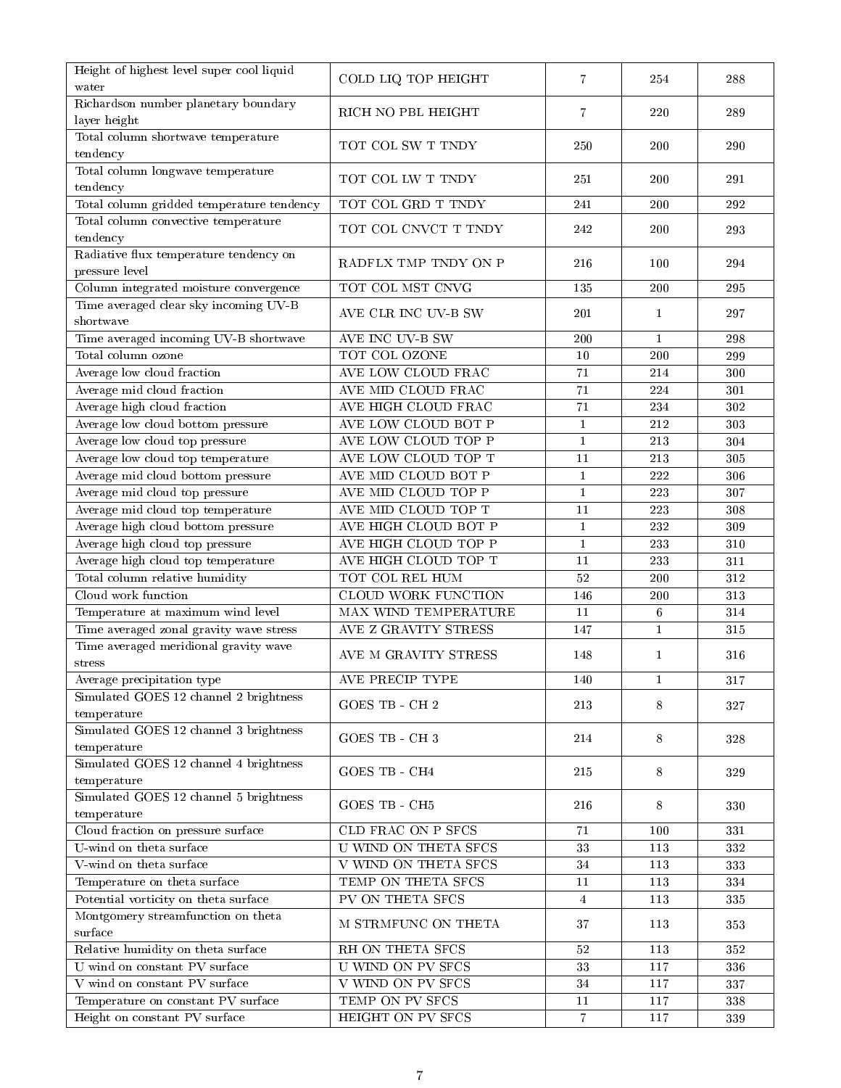| Richardson number planetary boundary<br>RICH NO PBL HEIGHT<br>220<br>289<br>7<br>layer height<br>Total column shortwave temperature<br>TOT COL SW T TNDY<br>250<br>200<br>290<br>tendency<br>Total column longwave temperature<br>TOT COL LW T TNDY<br>251<br>200<br>291<br>tendency<br>Total column gridded temperature tendency<br>TOT COL GRD T TNDY<br>200<br>292<br>241<br>Total column convective temperature<br>TOT COL CNVCT T TNDY<br>242<br>200<br>293<br>tendency<br>Radiative flux temperature tendency on<br>RADFLX TMP TNDY ON P<br>216<br>294<br>100<br>pressure level<br>Column integrated moisture convergence<br>TOT COL MST CNVG<br>135<br>295<br>200<br>Time averaged clear sky incoming UV-B<br>201<br>AVE CLR INC UV-B SW<br>297<br>1<br>shortwave<br>Time averaged incoming UV-B shortwave<br>AVE INC UV-B SW<br>200<br>$\mathbf{1}$<br>298<br>TOT COL OZONE<br>Total column ozone<br>10<br>200<br>299<br>AVE LOW CLOUD FRAC<br>Average low cloud fraction<br>71<br>214<br>300<br>AVE MID CLOUD FRAC<br>Average mid cloud fraction<br>71<br>224<br>301<br>Average high cloud fraction<br>AVE HIGH CLOUD FRAC<br>71<br>234<br>302<br>Average low cloud bottom pressure<br>AVE LOW CLOUD BOT P<br>$\mathbf{1}$<br>212<br>303<br>AVE LOW CLOUD TOP P<br>Average low cloud top pressure<br>$\mathbf{1}$<br>213<br>304<br>Average low cloud top temperature<br>AVE LOW CLOUD TOP T<br>11<br>213<br>305<br>Average mid cloud bottom pressure<br>AVE MID CLOUD BOT P<br>$\mathbf{1}$<br>222<br>306<br>Average mid cloud top pressure<br>AVE MID CLOUD TOP P<br>$\mathbf{1}$<br>223<br>307<br>AVE MID CLOUD TOP T<br>Average mid cloud top temperature<br>11<br>223<br>308<br>Average high cloud bottom pressure<br>AVE HIGH CLOUD BOT P<br>$\mathbf{1}$<br>232<br>309<br>Average high cloud top pressure<br>AVE HIGH CLOUD TOP P<br>$\mathbf{1}$<br>233<br>310<br>Average high cloud top temperature<br>AVE HIGH CLOUD TOP T<br>11<br>233<br>311<br>Total column relative humidity<br>TOT COL REL HUM<br>312<br>52<br>200<br><b>CLOUD WORK FUNCTION</b><br>313<br>Cloud work function<br>146<br>200<br>Temperature at maximum wind level<br>MAX WIND TEMPERATURE<br>11<br>6<br>314<br>Time averaged zonal gravity wave stress<br>AVE Z GRAVITY STRESS<br>147<br>$\mathbf{1}$<br>315<br>Time averaged meridional gravity wave<br>AVE M GRAVITY STRESS<br>$\mathbf{1}$<br>316<br>148<br>stress<br>AVE PRECIP TYPE<br>Average precipitation type<br>140<br>1<br>317<br>Simulated GOES 12 channel 2 brightness<br><b>GOES TB - CH2</b><br>213<br>8<br>327<br>temperature<br>Simulated GOES 12 channel 3 brightness<br><b>GOES TB - CH3</b><br>214<br>8<br>328<br>temperature<br>Simulated GOES 12 channel 4 brightness<br>GOES TB - CH4<br>215<br>8<br>329<br>temperature<br>Simulated GOES 12 channel 5 brightness<br>GOES TB - CH5<br>216<br>8<br>330<br>temperature<br>Cloud fraction on pressure surface<br>CLD FRAC ON P SFCS<br>71<br>331<br>100<br><b>U WIND ON THETA SFCS</b><br>U-wind on theta surface<br>33<br>113<br>332<br>V WIND ON THETA SFCS<br>V-wind on theta surface<br>34<br>113<br>333<br>TEMP ON THETA SFCS<br>Temperature on theta surface<br>11<br>113<br>334<br>PV ON THETA SFCS<br>Potential vorticity on theta surface<br>335<br>113<br>$\overline{4}$<br>Montgomery streamfunction on theta<br>M STRMFUNC ON THETA<br>37<br>113<br>353<br>surface<br>Relative humidity on theta surface<br>RH ON THETA SFCS<br>$52\,$<br>113<br>352<br>U wind on constant PV surface<br><b>U WIND ON PV SFCS</b><br>33<br>336<br>117<br>V wind on constant PV surface<br><b>V WIND ON PV SFCS</b><br>34<br>117<br>337<br>TEMP ON PV SFCS<br>Temperature on constant PV surface<br>$11\,$<br>338<br>117<br>Height on constant PV surface<br>HEIGHT ON PV SFCS<br>$\,7$<br>339<br>117 | Height of highest level super cool liquid<br>water | COLD LIQ TOP HEIGHT | 7 | 254 | 288 |
|-------------------------------------------------------------------------------------------------------------------------------------------------------------------------------------------------------------------------------------------------------------------------------------------------------------------------------------------------------------------------------------------------------------------------------------------------------------------------------------------------------------------------------------------------------------------------------------------------------------------------------------------------------------------------------------------------------------------------------------------------------------------------------------------------------------------------------------------------------------------------------------------------------------------------------------------------------------------------------------------------------------------------------------------------------------------------------------------------------------------------------------------------------------------------------------------------------------------------------------------------------------------------------------------------------------------------------------------------------------------------------------------------------------------------------------------------------------------------------------------------------------------------------------------------------------------------------------------------------------------------------------------------------------------------------------------------------------------------------------------------------------------------------------------------------------------------------------------------------------------------------------------------------------------------------------------------------------------------------------------------------------------------------------------------------------------------------------------------------------------------------------------------------------------------------------------------------------------------------------------------------------------------------------------------------------------------------------------------------------------------------------------------------------------------------------------------------------------------------------------------------------------------------------------------------------------------------------------------------------------------------------------------------------------------------------------------------------------------------------------------------------------------------------------------------------------------------------------------------------------------------------------------------------------------------------------------------------------------------------------------------------------------------------------------------------------------------------------------------------------------------------------------------------------------------------------------------------------------------------------------------------------------------------------------------------------------------------------------------------------------------------------------------------------------------------------------------------------------------------------------------------------------------------------------------------------------------------------------------------------------------------------------------------------------------------------------------------------------------------------------------------------------------------------------------------|----------------------------------------------------|---------------------|---|-----|-----|
|                                                                                                                                                                                                                                                                                                                                                                                                                                                                                                                                                                                                                                                                                                                                                                                                                                                                                                                                                                                                                                                                                                                                                                                                                                                                                                                                                                                                                                                                                                                                                                                                                                                                                                                                                                                                                                                                                                                                                                                                                                                                                                                                                                                                                                                                                                                                                                                                                                                                                                                                                                                                                                                                                                                                                                                                                                                                                                                                                                                                                                                                                                                                                                                                                                                                                                                                                                                                                                                                                                                                                                                                                                                                                                                                                                                                             |                                                    |                     |   |     |     |
|                                                                                                                                                                                                                                                                                                                                                                                                                                                                                                                                                                                                                                                                                                                                                                                                                                                                                                                                                                                                                                                                                                                                                                                                                                                                                                                                                                                                                                                                                                                                                                                                                                                                                                                                                                                                                                                                                                                                                                                                                                                                                                                                                                                                                                                                                                                                                                                                                                                                                                                                                                                                                                                                                                                                                                                                                                                                                                                                                                                                                                                                                                                                                                                                                                                                                                                                                                                                                                                                                                                                                                                                                                                                                                                                                                                                             |                                                    |                     |   |     |     |
|                                                                                                                                                                                                                                                                                                                                                                                                                                                                                                                                                                                                                                                                                                                                                                                                                                                                                                                                                                                                                                                                                                                                                                                                                                                                                                                                                                                                                                                                                                                                                                                                                                                                                                                                                                                                                                                                                                                                                                                                                                                                                                                                                                                                                                                                                                                                                                                                                                                                                                                                                                                                                                                                                                                                                                                                                                                                                                                                                                                                                                                                                                                                                                                                                                                                                                                                                                                                                                                                                                                                                                                                                                                                                                                                                                                                             |                                                    |                     |   |     |     |
|                                                                                                                                                                                                                                                                                                                                                                                                                                                                                                                                                                                                                                                                                                                                                                                                                                                                                                                                                                                                                                                                                                                                                                                                                                                                                                                                                                                                                                                                                                                                                                                                                                                                                                                                                                                                                                                                                                                                                                                                                                                                                                                                                                                                                                                                                                                                                                                                                                                                                                                                                                                                                                                                                                                                                                                                                                                                                                                                                                                                                                                                                                                                                                                                                                                                                                                                                                                                                                                                                                                                                                                                                                                                                                                                                                                                             |                                                    |                     |   |     |     |
|                                                                                                                                                                                                                                                                                                                                                                                                                                                                                                                                                                                                                                                                                                                                                                                                                                                                                                                                                                                                                                                                                                                                                                                                                                                                                                                                                                                                                                                                                                                                                                                                                                                                                                                                                                                                                                                                                                                                                                                                                                                                                                                                                                                                                                                                                                                                                                                                                                                                                                                                                                                                                                                                                                                                                                                                                                                                                                                                                                                                                                                                                                                                                                                                                                                                                                                                                                                                                                                                                                                                                                                                                                                                                                                                                                                                             |                                                    |                     |   |     |     |
|                                                                                                                                                                                                                                                                                                                                                                                                                                                                                                                                                                                                                                                                                                                                                                                                                                                                                                                                                                                                                                                                                                                                                                                                                                                                                                                                                                                                                                                                                                                                                                                                                                                                                                                                                                                                                                                                                                                                                                                                                                                                                                                                                                                                                                                                                                                                                                                                                                                                                                                                                                                                                                                                                                                                                                                                                                                                                                                                                                                                                                                                                                                                                                                                                                                                                                                                                                                                                                                                                                                                                                                                                                                                                                                                                                                                             |                                                    |                     |   |     |     |
|                                                                                                                                                                                                                                                                                                                                                                                                                                                                                                                                                                                                                                                                                                                                                                                                                                                                                                                                                                                                                                                                                                                                                                                                                                                                                                                                                                                                                                                                                                                                                                                                                                                                                                                                                                                                                                                                                                                                                                                                                                                                                                                                                                                                                                                                                                                                                                                                                                                                                                                                                                                                                                                                                                                                                                                                                                                                                                                                                                                                                                                                                                                                                                                                                                                                                                                                                                                                                                                                                                                                                                                                                                                                                                                                                                                                             |                                                    |                     |   |     |     |
|                                                                                                                                                                                                                                                                                                                                                                                                                                                                                                                                                                                                                                                                                                                                                                                                                                                                                                                                                                                                                                                                                                                                                                                                                                                                                                                                                                                                                                                                                                                                                                                                                                                                                                                                                                                                                                                                                                                                                                                                                                                                                                                                                                                                                                                                                                                                                                                                                                                                                                                                                                                                                                                                                                                                                                                                                                                                                                                                                                                                                                                                                                                                                                                                                                                                                                                                                                                                                                                                                                                                                                                                                                                                                                                                                                                                             |                                                    |                     |   |     |     |
|                                                                                                                                                                                                                                                                                                                                                                                                                                                                                                                                                                                                                                                                                                                                                                                                                                                                                                                                                                                                                                                                                                                                                                                                                                                                                                                                                                                                                                                                                                                                                                                                                                                                                                                                                                                                                                                                                                                                                                                                                                                                                                                                                                                                                                                                                                                                                                                                                                                                                                                                                                                                                                                                                                                                                                                                                                                                                                                                                                                                                                                                                                                                                                                                                                                                                                                                                                                                                                                                                                                                                                                                                                                                                                                                                                                                             |                                                    |                     |   |     |     |
|                                                                                                                                                                                                                                                                                                                                                                                                                                                                                                                                                                                                                                                                                                                                                                                                                                                                                                                                                                                                                                                                                                                                                                                                                                                                                                                                                                                                                                                                                                                                                                                                                                                                                                                                                                                                                                                                                                                                                                                                                                                                                                                                                                                                                                                                                                                                                                                                                                                                                                                                                                                                                                                                                                                                                                                                                                                                                                                                                                                                                                                                                                                                                                                                                                                                                                                                                                                                                                                                                                                                                                                                                                                                                                                                                                                                             |                                                    |                     |   |     |     |
|                                                                                                                                                                                                                                                                                                                                                                                                                                                                                                                                                                                                                                                                                                                                                                                                                                                                                                                                                                                                                                                                                                                                                                                                                                                                                                                                                                                                                                                                                                                                                                                                                                                                                                                                                                                                                                                                                                                                                                                                                                                                                                                                                                                                                                                                                                                                                                                                                                                                                                                                                                                                                                                                                                                                                                                                                                                                                                                                                                                                                                                                                                                                                                                                                                                                                                                                                                                                                                                                                                                                                                                                                                                                                                                                                                                                             |                                                    |                     |   |     |     |
|                                                                                                                                                                                                                                                                                                                                                                                                                                                                                                                                                                                                                                                                                                                                                                                                                                                                                                                                                                                                                                                                                                                                                                                                                                                                                                                                                                                                                                                                                                                                                                                                                                                                                                                                                                                                                                                                                                                                                                                                                                                                                                                                                                                                                                                                                                                                                                                                                                                                                                                                                                                                                                                                                                                                                                                                                                                                                                                                                                                                                                                                                                                                                                                                                                                                                                                                                                                                                                                                                                                                                                                                                                                                                                                                                                                                             |                                                    |                     |   |     |     |
|                                                                                                                                                                                                                                                                                                                                                                                                                                                                                                                                                                                                                                                                                                                                                                                                                                                                                                                                                                                                                                                                                                                                                                                                                                                                                                                                                                                                                                                                                                                                                                                                                                                                                                                                                                                                                                                                                                                                                                                                                                                                                                                                                                                                                                                                                                                                                                                                                                                                                                                                                                                                                                                                                                                                                                                                                                                                                                                                                                                                                                                                                                                                                                                                                                                                                                                                                                                                                                                                                                                                                                                                                                                                                                                                                                                                             |                                                    |                     |   |     |     |
|                                                                                                                                                                                                                                                                                                                                                                                                                                                                                                                                                                                                                                                                                                                                                                                                                                                                                                                                                                                                                                                                                                                                                                                                                                                                                                                                                                                                                                                                                                                                                                                                                                                                                                                                                                                                                                                                                                                                                                                                                                                                                                                                                                                                                                                                                                                                                                                                                                                                                                                                                                                                                                                                                                                                                                                                                                                                                                                                                                                                                                                                                                                                                                                                                                                                                                                                                                                                                                                                                                                                                                                                                                                                                                                                                                                                             |                                                    |                     |   |     |     |
|                                                                                                                                                                                                                                                                                                                                                                                                                                                                                                                                                                                                                                                                                                                                                                                                                                                                                                                                                                                                                                                                                                                                                                                                                                                                                                                                                                                                                                                                                                                                                                                                                                                                                                                                                                                                                                                                                                                                                                                                                                                                                                                                                                                                                                                                                                                                                                                                                                                                                                                                                                                                                                                                                                                                                                                                                                                                                                                                                                                                                                                                                                                                                                                                                                                                                                                                                                                                                                                                                                                                                                                                                                                                                                                                                                                                             |                                                    |                     |   |     |     |
|                                                                                                                                                                                                                                                                                                                                                                                                                                                                                                                                                                                                                                                                                                                                                                                                                                                                                                                                                                                                                                                                                                                                                                                                                                                                                                                                                                                                                                                                                                                                                                                                                                                                                                                                                                                                                                                                                                                                                                                                                                                                                                                                                                                                                                                                                                                                                                                                                                                                                                                                                                                                                                                                                                                                                                                                                                                                                                                                                                                                                                                                                                                                                                                                                                                                                                                                                                                                                                                                                                                                                                                                                                                                                                                                                                                                             |                                                    |                     |   |     |     |
|                                                                                                                                                                                                                                                                                                                                                                                                                                                                                                                                                                                                                                                                                                                                                                                                                                                                                                                                                                                                                                                                                                                                                                                                                                                                                                                                                                                                                                                                                                                                                                                                                                                                                                                                                                                                                                                                                                                                                                                                                                                                                                                                                                                                                                                                                                                                                                                                                                                                                                                                                                                                                                                                                                                                                                                                                                                                                                                                                                                                                                                                                                                                                                                                                                                                                                                                                                                                                                                                                                                                                                                                                                                                                                                                                                                                             |                                                    |                     |   |     |     |
|                                                                                                                                                                                                                                                                                                                                                                                                                                                                                                                                                                                                                                                                                                                                                                                                                                                                                                                                                                                                                                                                                                                                                                                                                                                                                                                                                                                                                                                                                                                                                                                                                                                                                                                                                                                                                                                                                                                                                                                                                                                                                                                                                                                                                                                                                                                                                                                                                                                                                                                                                                                                                                                                                                                                                                                                                                                                                                                                                                                                                                                                                                                                                                                                                                                                                                                                                                                                                                                                                                                                                                                                                                                                                                                                                                                                             |                                                    |                     |   |     |     |
|                                                                                                                                                                                                                                                                                                                                                                                                                                                                                                                                                                                                                                                                                                                                                                                                                                                                                                                                                                                                                                                                                                                                                                                                                                                                                                                                                                                                                                                                                                                                                                                                                                                                                                                                                                                                                                                                                                                                                                                                                                                                                                                                                                                                                                                                                                                                                                                                                                                                                                                                                                                                                                                                                                                                                                                                                                                                                                                                                                                                                                                                                                                                                                                                                                                                                                                                                                                                                                                                                                                                                                                                                                                                                                                                                                                                             |                                                    |                     |   |     |     |
|                                                                                                                                                                                                                                                                                                                                                                                                                                                                                                                                                                                                                                                                                                                                                                                                                                                                                                                                                                                                                                                                                                                                                                                                                                                                                                                                                                                                                                                                                                                                                                                                                                                                                                                                                                                                                                                                                                                                                                                                                                                                                                                                                                                                                                                                                                                                                                                                                                                                                                                                                                                                                                                                                                                                                                                                                                                                                                                                                                                                                                                                                                                                                                                                                                                                                                                                                                                                                                                                                                                                                                                                                                                                                                                                                                                                             |                                                    |                     |   |     |     |
|                                                                                                                                                                                                                                                                                                                                                                                                                                                                                                                                                                                                                                                                                                                                                                                                                                                                                                                                                                                                                                                                                                                                                                                                                                                                                                                                                                                                                                                                                                                                                                                                                                                                                                                                                                                                                                                                                                                                                                                                                                                                                                                                                                                                                                                                                                                                                                                                                                                                                                                                                                                                                                                                                                                                                                                                                                                                                                                                                                                                                                                                                                                                                                                                                                                                                                                                                                                                                                                                                                                                                                                                                                                                                                                                                                                                             |                                                    |                     |   |     |     |
|                                                                                                                                                                                                                                                                                                                                                                                                                                                                                                                                                                                                                                                                                                                                                                                                                                                                                                                                                                                                                                                                                                                                                                                                                                                                                                                                                                                                                                                                                                                                                                                                                                                                                                                                                                                                                                                                                                                                                                                                                                                                                                                                                                                                                                                                                                                                                                                                                                                                                                                                                                                                                                                                                                                                                                                                                                                                                                                                                                                                                                                                                                                                                                                                                                                                                                                                                                                                                                                                                                                                                                                                                                                                                                                                                                                                             |                                                    |                     |   |     |     |
|                                                                                                                                                                                                                                                                                                                                                                                                                                                                                                                                                                                                                                                                                                                                                                                                                                                                                                                                                                                                                                                                                                                                                                                                                                                                                                                                                                                                                                                                                                                                                                                                                                                                                                                                                                                                                                                                                                                                                                                                                                                                                                                                                                                                                                                                                                                                                                                                                                                                                                                                                                                                                                                                                                                                                                                                                                                                                                                                                                                                                                                                                                                                                                                                                                                                                                                                                                                                                                                                                                                                                                                                                                                                                                                                                                                                             |                                                    |                     |   |     |     |
|                                                                                                                                                                                                                                                                                                                                                                                                                                                                                                                                                                                                                                                                                                                                                                                                                                                                                                                                                                                                                                                                                                                                                                                                                                                                                                                                                                                                                                                                                                                                                                                                                                                                                                                                                                                                                                                                                                                                                                                                                                                                                                                                                                                                                                                                                                                                                                                                                                                                                                                                                                                                                                                                                                                                                                                                                                                                                                                                                                                                                                                                                                                                                                                                                                                                                                                                                                                                                                                                                                                                                                                                                                                                                                                                                                                                             |                                                    |                     |   |     |     |
|                                                                                                                                                                                                                                                                                                                                                                                                                                                                                                                                                                                                                                                                                                                                                                                                                                                                                                                                                                                                                                                                                                                                                                                                                                                                                                                                                                                                                                                                                                                                                                                                                                                                                                                                                                                                                                                                                                                                                                                                                                                                                                                                                                                                                                                                                                                                                                                                                                                                                                                                                                                                                                                                                                                                                                                                                                                                                                                                                                                                                                                                                                                                                                                                                                                                                                                                                                                                                                                                                                                                                                                                                                                                                                                                                                                                             |                                                    |                     |   |     |     |
|                                                                                                                                                                                                                                                                                                                                                                                                                                                                                                                                                                                                                                                                                                                                                                                                                                                                                                                                                                                                                                                                                                                                                                                                                                                                                                                                                                                                                                                                                                                                                                                                                                                                                                                                                                                                                                                                                                                                                                                                                                                                                                                                                                                                                                                                                                                                                                                                                                                                                                                                                                                                                                                                                                                                                                                                                                                                                                                                                                                                                                                                                                                                                                                                                                                                                                                                                                                                                                                                                                                                                                                                                                                                                                                                                                                                             |                                                    |                     |   |     |     |
|                                                                                                                                                                                                                                                                                                                                                                                                                                                                                                                                                                                                                                                                                                                                                                                                                                                                                                                                                                                                                                                                                                                                                                                                                                                                                                                                                                                                                                                                                                                                                                                                                                                                                                                                                                                                                                                                                                                                                                                                                                                                                                                                                                                                                                                                                                                                                                                                                                                                                                                                                                                                                                                                                                                                                                                                                                                                                                                                                                                                                                                                                                                                                                                                                                                                                                                                                                                                                                                                                                                                                                                                                                                                                                                                                                                                             |                                                    |                     |   |     |     |
|                                                                                                                                                                                                                                                                                                                                                                                                                                                                                                                                                                                                                                                                                                                                                                                                                                                                                                                                                                                                                                                                                                                                                                                                                                                                                                                                                                                                                                                                                                                                                                                                                                                                                                                                                                                                                                                                                                                                                                                                                                                                                                                                                                                                                                                                                                                                                                                                                                                                                                                                                                                                                                                                                                                                                                                                                                                                                                                                                                                                                                                                                                                                                                                                                                                                                                                                                                                                                                                                                                                                                                                                                                                                                                                                                                                                             |                                                    |                     |   |     |     |
|                                                                                                                                                                                                                                                                                                                                                                                                                                                                                                                                                                                                                                                                                                                                                                                                                                                                                                                                                                                                                                                                                                                                                                                                                                                                                                                                                                                                                                                                                                                                                                                                                                                                                                                                                                                                                                                                                                                                                                                                                                                                                                                                                                                                                                                                                                                                                                                                                                                                                                                                                                                                                                                                                                                                                                                                                                                                                                                                                                                                                                                                                                                                                                                                                                                                                                                                                                                                                                                                                                                                                                                                                                                                                                                                                                                                             |                                                    |                     |   |     |     |
|                                                                                                                                                                                                                                                                                                                                                                                                                                                                                                                                                                                                                                                                                                                                                                                                                                                                                                                                                                                                                                                                                                                                                                                                                                                                                                                                                                                                                                                                                                                                                                                                                                                                                                                                                                                                                                                                                                                                                                                                                                                                                                                                                                                                                                                                                                                                                                                                                                                                                                                                                                                                                                                                                                                                                                                                                                                                                                                                                                                                                                                                                                                                                                                                                                                                                                                                                                                                                                                                                                                                                                                                                                                                                                                                                                                                             |                                                    |                     |   |     |     |
|                                                                                                                                                                                                                                                                                                                                                                                                                                                                                                                                                                                                                                                                                                                                                                                                                                                                                                                                                                                                                                                                                                                                                                                                                                                                                                                                                                                                                                                                                                                                                                                                                                                                                                                                                                                                                                                                                                                                                                                                                                                                                                                                                                                                                                                                                                                                                                                                                                                                                                                                                                                                                                                                                                                                                                                                                                                                                                                                                                                                                                                                                                                                                                                                                                                                                                                                                                                                                                                                                                                                                                                                                                                                                                                                                                                                             |                                                    |                     |   |     |     |
|                                                                                                                                                                                                                                                                                                                                                                                                                                                                                                                                                                                                                                                                                                                                                                                                                                                                                                                                                                                                                                                                                                                                                                                                                                                                                                                                                                                                                                                                                                                                                                                                                                                                                                                                                                                                                                                                                                                                                                                                                                                                                                                                                                                                                                                                                                                                                                                                                                                                                                                                                                                                                                                                                                                                                                                                                                                                                                                                                                                                                                                                                                                                                                                                                                                                                                                                                                                                                                                                                                                                                                                                                                                                                                                                                                                                             |                                                    |                     |   |     |     |
|                                                                                                                                                                                                                                                                                                                                                                                                                                                                                                                                                                                                                                                                                                                                                                                                                                                                                                                                                                                                                                                                                                                                                                                                                                                                                                                                                                                                                                                                                                                                                                                                                                                                                                                                                                                                                                                                                                                                                                                                                                                                                                                                                                                                                                                                                                                                                                                                                                                                                                                                                                                                                                                                                                                                                                                                                                                                                                                                                                                                                                                                                                                                                                                                                                                                                                                                                                                                                                                                                                                                                                                                                                                                                                                                                                                                             |                                                    |                     |   |     |     |
|                                                                                                                                                                                                                                                                                                                                                                                                                                                                                                                                                                                                                                                                                                                                                                                                                                                                                                                                                                                                                                                                                                                                                                                                                                                                                                                                                                                                                                                                                                                                                                                                                                                                                                                                                                                                                                                                                                                                                                                                                                                                                                                                                                                                                                                                                                                                                                                                                                                                                                                                                                                                                                                                                                                                                                                                                                                                                                                                                                                                                                                                                                                                                                                                                                                                                                                                                                                                                                                                                                                                                                                                                                                                                                                                                                                                             |                                                    |                     |   |     |     |
|                                                                                                                                                                                                                                                                                                                                                                                                                                                                                                                                                                                                                                                                                                                                                                                                                                                                                                                                                                                                                                                                                                                                                                                                                                                                                                                                                                                                                                                                                                                                                                                                                                                                                                                                                                                                                                                                                                                                                                                                                                                                                                                                                                                                                                                                                                                                                                                                                                                                                                                                                                                                                                                                                                                                                                                                                                                                                                                                                                                                                                                                                                                                                                                                                                                                                                                                                                                                                                                                                                                                                                                                                                                                                                                                                                                                             |                                                    |                     |   |     |     |
|                                                                                                                                                                                                                                                                                                                                                                                                                                                                                                                                                                                                                                                                                                                                                                                                                                                                                                                                                                                                                                                                                                                                                                                                                                                                                                                                                                                                                                                                                                                                                                                                                                                                                                                                                                                                                                                                                                                                                                                                                                                                                                                                                                                                                                                                                                                                                                                                                                                                                                                                                                                                                                                                                                                                                                                                                                                                                                                                                                                                                                                                                                                                                                                                                                                                                                                                                                                                                                                                                                                                                                                                                                                                                                                                                                                                             |                                                    |                     |   |     |     |
|                                                                                                                                                                                                                                                                                                                                                                                                                                                                                                                                                                                                                                                                                                                                                                                                                                                                                                                                                                                                                                                                                                                                                                                                                                                                                                                                                                                                                                                                                                                                                                                                                                                                                                                                                                                                                                                                                                                                                                                                                                                                                                                                                                                                                                                                                                                                                                                                                                                                                                                                                                                                                                                                                                                                                                                                                                                                                                                                                                                                                                                                                                                                                                                                                                                                                                                                                                                                                                                                                                                                                                                                                                                                                                                                                                                                             |                                                    |                     |   |     |     |
|                                                                                                                                                                                                                                                                                                                                                                                                                                                                                                                                                                                                                                                                                                                                                                                                                                                                                                                                                                                                                                                                                                                                                                                                                                                                                                                                                                                                                                                                                                                                                                                                                                                                                                                                                                                                                                                                                                                                                                                                                                                                                                                                                                                                                                                                                                                                                                                                                                                                                                                                                                                                                                                                                                                                                                                                                                                                                                                                                                                                                                                                                                                                                                                                                                                                                                                                                                                                                                                                                                                                                                                                                                                                                                                                                                                                             |                                                    |                     |   |     |     |
|                                                                                                                                                                                                                                                                                                                                                                                                                                                                                                                                                                                                                                                                                                                                                                                                                                                                                                                                                                                                                                                                                                                                                                                                                                                                                                                                                                                                                                                                                                                                                                                                                                                                                                                                                                                                                                                                                                                                                                                                                                                                                                                                                                                                                                                                                                                                                                                                                                                                                                                                                                                                                                                                                                                                                                                                                                                                                                                                                                                                                                                                                                                                                                                                                                                                                                                                                                                                                                                                                                                                                                                                                                                                                                                                                                                                             |                                                    |                     |   |     |     |
|                                                                                                                                                                                                                                                                                                                                                                                                                                                                                                                                                                                                                                                                                                                                                                                                                                                                                                                                                                                                                                                                                                                                                                                                                                                                                                                                                                                                                                                                                                                                                                                                                                                                                                                                                                                                                                                                                                                                                                                                                                                                                                                                                                                                                                                                                                                                                                                                                                                                                                                                                                                                                                                                                                                                                                                                                                                                                                                                                                                                                                                                                                                                                                                                                                                                                                                                                                                                                                                                                                                                                                                                                                                                                                                                                                                                             |                                                    |                     |   |     |     |
|                                                                                                                                                                                                                                                                                                                                                                                                                                                                                                                                                                                                                                                                                                                                                                                                                                                                                                                                                                                                                                                                                                                                                                                                                                                                                                                                                                                                                                                                                                                                                                                                                                                                                                                                                                                                                                                                                                                                                                                                                                                                                                                                                                                                                                                                                                                                                                                                                                                                                                                                                                                                                                                                                                                                                                                                                                                                                                                                                                                                                                                                                                                                                                                                                                                                                                                                                                                                                                                                                                                                                                                                                                                                                                                                                                                                             |                                                    |                     |   |     |     |
|                                                                                                                                                                                                                                                                                                                                                                                                                                                                                                                                                                                                                                                                                                                                                                                                                                                                                                                                                                                                                                                                                                                                                                                                                                                                                                                                                                                                                                                                                                                                                                                                                                                                                                                                                                                                                                                                                                                                                                                                                                                                                                                                                                                                                                                                                                                                                                                                                                                                                                                                                                                                                                                                                                                                                                                                                                                                                                                                                                                                                                                                                                                                                                                                                                                                                                                                                                                                                                                                                                                                                                                                                                                                                                                                                                                                             |                                                    |                     |   |     |     |
|                                                                                                                                                                                                                                                                                                                                                                                                                                                                                                                                                                                                                                                                                                                                                                                                                                                                                                                                                                                                                                                                                                                                                                                                                                                                                                                                                                                                                                                                                                                                                                                                                                                                                                                                                                                                                                                                                                                                                                                                                                                                                                                                                                                                                                                                                                                                                                                                                                                                                                                                                                                                                                                                                                                                                                                                                                                                                                                                                                                                                                                                                                                                                                                                                                                                                                                                                                                                                                                                                                                                                                                                                                                                                                                                                                                                             |                                                    |                     |   |     |     |
|                                                                                                                                                                                                                                                                                                                                                                                                                                                                                                                                                                                                                                                                                                                                                                                                                                                                                                                                                                                                                                                                                                                                                                                                                                                                                                                                                                                                                                                                                                                                                                                                                                                                                                                                                                                                                                                                                                                                                                                                                                                                                                                                                                                                                                                                                                                                                                                                                                                                                                                                                                                                                                                                                                                                                                                                                                                                                                                                                                                                                                                                                                                                                                                                                                                                                                                                                                                                                                                                                                                                                                                                                                                                                                                                                                                                             |                                                    |                     |   |     |     |
|                                                                                                                                                                                                                                                                                                                                                                                                                                                                                                                                                                                                                                                                                                                                                                                                                                                                                                                                                                                                                                                                                                                                                                                                                                                                                                                                                                                                                                                                                                                                                                                                                                                                                                                                                                                                                                                                                                                                                                                                                                                                                                                                                                                                                                                                                                                                                                                                                                                                                                                                                                                                                                                                                                                                                                                                                                                                                                                                                                                                                                                                                                                                                                                                                                                                                                                                                                                                                                                                                                                                                                                                                                                                                                                                                                                                             |                                                    |                     |   |     |     |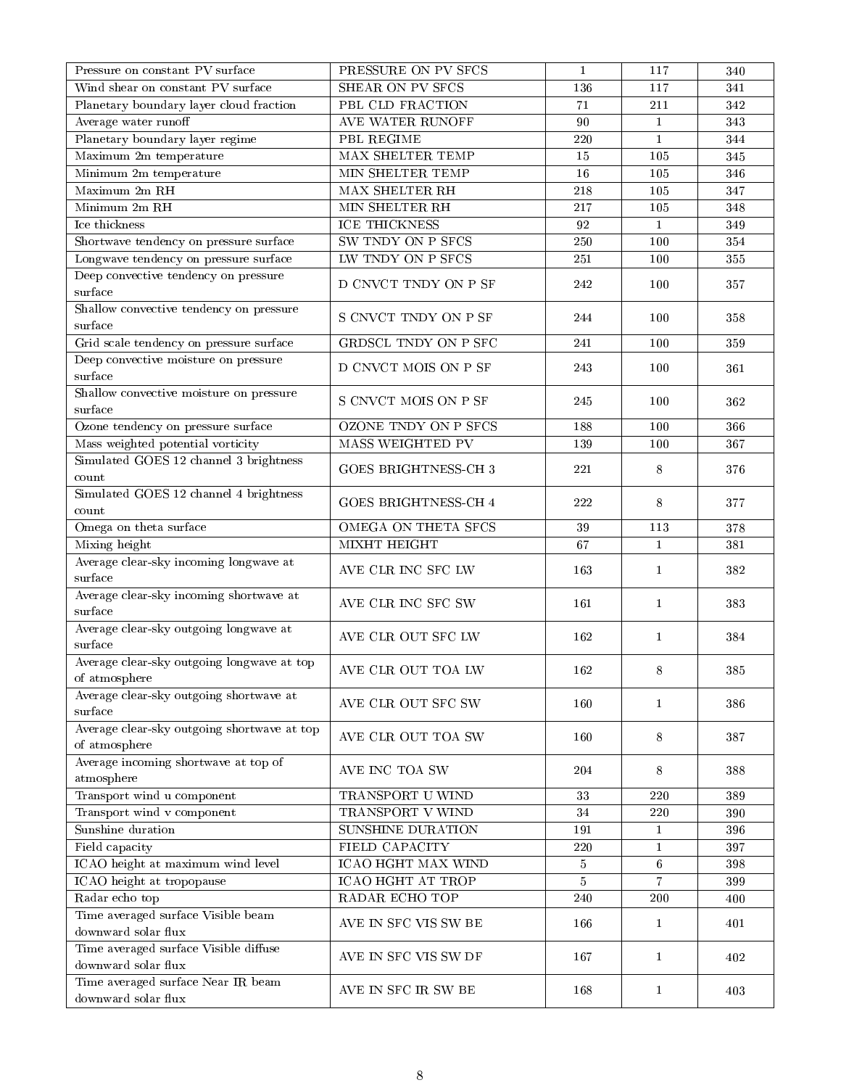| Pressure on constant PV surface             | PRESSURE ON PV SFCS         | 1              | 117            | 340 |
|---------------------------------------------|-----------------------------|----------------|----------------|-----|
| Wind shear on constant PV surface           | <b>SHEAR ON PV SFCS</b>     | 136            | 117            | 341 |
| Planetary boundary layer cloud fraction     | PBL CLD FRACTION            | $71\,$         | 211            | 342 |
| Average water runoff                        | AVE WATER RUNOFF            | 90             | $\mathbf{1}$   | 343 |
| Planetary boundary layer regime             | PBL REGIME                  | 220            | $\mathbf{1}$   | 344 |
| Maximum 2m temperature                      | MAX SHELTER TEMP            | 15             | 105            | 345 |
| Minimum 2m temperature                      | MIN SHELTER TEMP            | 16             | 105            | 346 |
| Maximum 2m RH                               | MAX SHELTER RH              | 218            | 105            | 347 |
| Minimum 2m RH                               | MIN SHELTER RH              | 217            | 105            | 348 |
| Ice thickness                               | ICE THICKNESS               | 92             | $\mathbf{1}$   | 349 |
| Shortwave tendency on pressure surface      | SW TNDY ON P SFCS           | 250            | 100            | 354 |
| Longwave tendency on pressure surface       | LW TNDY ON P SFCS           | $2\sqrt{51}$   | 100            | 355 |
| Deep convective tendency on pressure        |                             |                |                |     |
| surface                                     | D CNVCT TNDY ON P SF        | 242            | 100            | 357 |
| Shallow convective tendency on pressure     |                             |                |                |     |
| surface                                     | S CNVCT TNDY ON P SF        | 244            | 100            | 358 |
| Grid scale tendency on pressure surface     | GRDSCL TNDY ON P SFC        | 241            | 100            | 359 |
| Deep convective moisture on pressure        |                             |                |                |     |
| surface                                     | D CNVCT MOIS ON P SF        | 243            | 100            | 361 |
| Shallow convective moisture on pressure     |                             |                |                |     |
| surface                                     | S CNVCT MOIS ON P SF        | 245            | 100            | 362 |
| Ozone tendency on pressure surface          | OZONE TNDY ON P SFCS        | 188            | 100            | 366 |
| Mass weighted potential vorticity           | <b>MASS WEIGHTED PV</b>     | 139            | 100            | 367 |
| Simulated GOES 12 channel 3 brightness      |                             |                |                |     |
| count                                       | <b>GOES BRIGHTNESS-CH 3</b> | 221            | 8              | 376 |
| Simulated GOES 12 channel 4 brightness      |                             |                |                |     |
| count                                       | <b>GOES BRIGHTNESS-CH 4</b> | $2\sqrt{2}2$   | 8              | 377 |
| Omega on theta surface                      | OMEGA ON THETA SFCS         | 39             | 113            | 378 |
| Mixing height                               | <b>MIXHT HEIGHT</b>         | 67             | $\mathbf{1}$   | 381 |
| Average clear-sky incoming longwave at      |                             | 163            | $\mathbf{1}$   |     |
| surface                                     | AVE CLR INC SFC LW          |                |                | 382 |
| Average clear-sky incoming shortwave at     | AVE CLR INC SFC SW          | 161            | $\mathbf{1}$   | 383 |
| surface                                     |                             |                |                |     |
| Average clear-sky outgoing longwave at      | AVE CLR OUT SFC LW          | 162            | $\mathbf{1}$   | 384 |
| surface                                     |                             |                |                |     |
| Average clear-sky outgoing longwave at top  | AVE CLR OUT TOA LW          | 162            | 8              | 385 |
| of a tmosphere                              |                             |                |                |     |
| Average clear-sky outgoing shortwave at     | AVE CLR OUT SFC SW          | 160            | $\mathbf{1}$   | 386 |
| surface                                     |                             |                |                |     |
| Average clear-sky outgoing shortwave at top | AVE CLR OUT TOA SW          | 160            | 8              | 387 |
| of atmosphere                               |                             |                |                |     |
| Average incoming shortwave at top of        | AVE INC TOA SW              | 204            | 8              | 388 |
| atmosphere                                  |                             |                |                |     |
| Transport wind u component                  | TRANSPORT U WIND            | 33             | 220            | 389 |
| Transport wind v component                  | TRANSPORT V WIND            | 34             | 220            | 390 |
| Sunshine duration                           | SUNSHINE DURATION           | 191            | $\mathbf{1}$   | 396 |
| Field capacity                              | FIELD CAPACITY              | 220            | $\mathbf{1}$   | 397 |
| ICAO height at maximum wind level           | ICAO HGHT MAX WIND          | $\overline{5}$ | 6              | 398 |
| ICAO height at tropopause                   | ICAO HGHT AT TROP           | 5              | $\overline{7}$ | 399 |
| Radar echo top                              | RADAR ECHO TOP              | 240            | 200            | 400 |
| Time averaged surface Visible beam          | AVE IN SFC VIS SW BE        | 166            | 1              | 401 |
| downward solar flux                         |                             |                |                |     |
| Time averaged surface Visible diffuse       | AVE IN SFC VIS SW DF        | 167            | 1              | 402 |
| downward solar flux                         |                             |                |                |     |
| Time averaged surface Near IR beam          | AVE IN SFC IR SW BE         | 168            | 1              | 403 |
| downward solar flux                         |                             |                |                |     |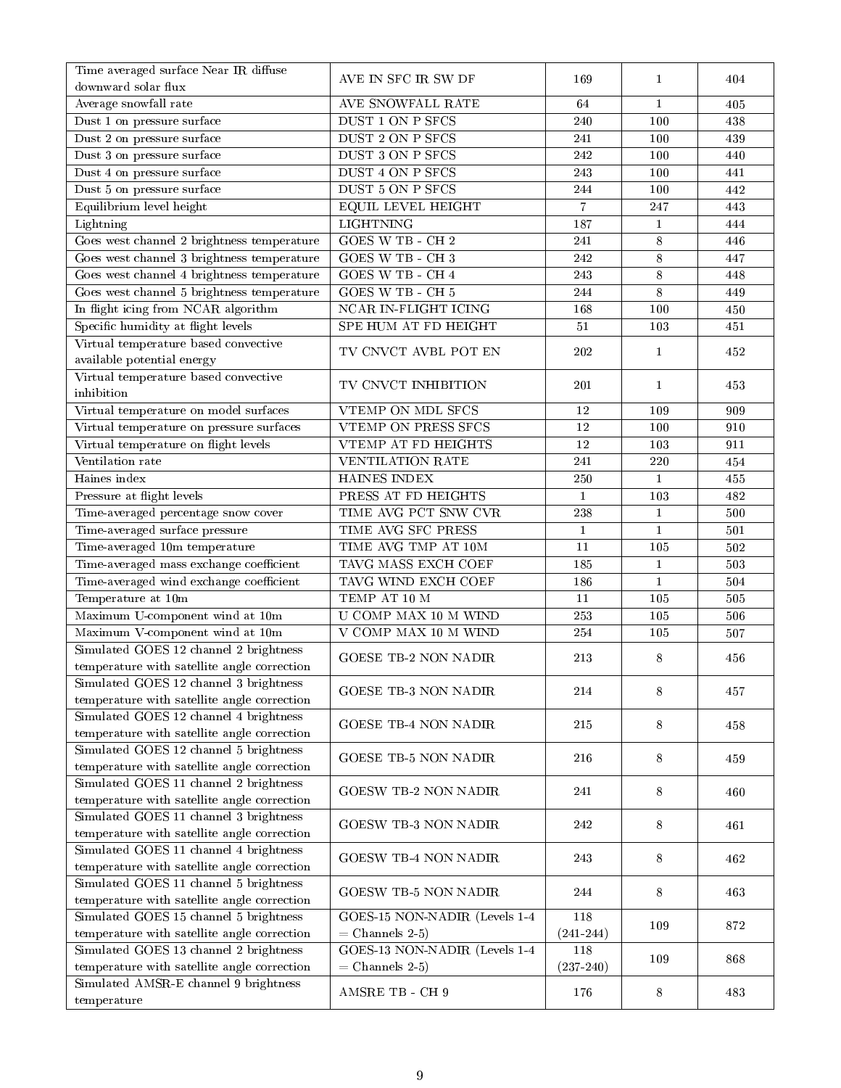| Time averaged surface Near IR diffuse                                                 | AVE IN SFC IR SW DF           | 169            | $\mathbf{1}$ | 404     |
|---------------------------------------------------------------------------------------|-------------------------------|----------------|--------------|---------|
| downward solar flux                                                                   |                               |                |              |         |
| Average snowfall rate                                                                 | AVE SNOWFALL RATE             | 64             | $\mathbf{1}$ | 405     |
| Dust 1 on pressure surface                                                            | DUST 1 ON P SFCS              | 240            | 100          | 438     |
| Dust 2 on pressure surface                                                            | DUST 2 ON P SFCS              | 241            | 100          | 439     |
| Dust 3 on pressure surface                                                            | DUST 3 ON P SFCS              | 242            | 100          | 440     |
| Dust $4$ on pressure surface                                                          | DUST 4 ON P SFCS              | 243            | 100          | 441     |
| Dust 5 on pressure surface                                                            | DUST 5 ON P SFCS              | 244            | 100          | 442     |
| Equilibrium level height                                                              | <b>EQUIL LEVEL HEIGHT</b>     | $\overline{7}$ | 247          | 443     |
| Lightning                                                                             | <b>LIGHTNING</b>              | 187            | $\mathbf{1}$ | 444     |
| Goes west channel 2 brightness temperature                                            | GOES W TB - CH 2              | 241            | 8            | 446     |
| Goes west channel 3 brightness temperature                                            | GOES W TB - CH 3              | 242            | $\,$ 8 $\,$  | 447     |
| Goes west channel 4 brightness temperature                                            | GOES W TB - CH 4              | 243            | 8            | 448     |
| Goes west channel 5 brightness temperature                                            | GOES W TB - CH 5              | 244            | $\,$ 8 $\,$  | 449     |
| In flight icing from NCAR algorithm                                                   | NCAR IN-FLIGHT ICING          | 168            | 100          | 450     |
| Specific humidity at flight levels                                                    | SPE HUM AT FD HEIGHT          | 51             | 103          | 451     |
| Virtual temperature based convective<br>available potential energy                    | TV CNVCT AVBL POT EN          | 202            | $\mathbf{1}$ | 452     |
| Virtual temperature based convective                                                  | TV CNVCT INHIBITION           | 201            | $\mathbf{1}$ | 453     |
| inhibition                                                                            |                               |                |              |         |
| Virtual temperature on model surfaces                                                 | VTEMP ON MDL SFCS             | 12             | 109          | 909     |
| Virtual temperature on pressure surfaces                                              | VTEMP ON PRESS SFCS           | 12             | 100          | 910     |
| Virtual temperature on flight levels                                                  | VTEMP AT FD HEIGHTS           | $12\,$         | 103          | 911     |
| Ventilation rate                                                                      | <b>VENTILATION RATE</b>       | 241            | 220          | 454     |
| Haines index                                                                          | HAINES INDEX                  | 250            | $\mathbf{1}$ | 455     |
| Pressure at flight levels                                                             | PRESS AT FD HEIGHTS           | $\mathbf{1}$   | 103          | 482     |
| Time-averaged percentage snow cover                                                   | TIME AVG PCT SNW CVR          | 238            | $\mathbf{1}$ | 500     |
| Time-averaged surface pressure                                                        | TIME AVG SFC PRESS            | $\mathbf{1}$   | $\mathbf{1}$ | 501     |
| Time-averaged 10m temperature                                                         | TIME AVG TMP AT 10M           | 11             | 105          | 502     |
| Time-averaged mass exchange coefficient                                               | TAVG MASS EXCH COEF           | 185            | $\mathbf{1}$ | 503     |
| Time-averaged wind exchange coefficient                                               | TAVG WIND EXCH COEF           | 186            | $\mathbf{1}$ | 504     |
| Temperature at 10m                                                                    | TEMP AT 10 M                  | 11             | 105          | 505     |
| Maximum U-component wind at 10m                                                       | U COMP MAX 10 M WIND          | 253            | 105          | 506     |
| Maximum V-component wind at 10m                                                       | V COMP MAX 10 M WIND          | 254            | 105          | $507\,$ |
| Simulated GOES 12 channel 2 brightness                                                | <b>GOESE TB-2 NON NADIR</b>   | 213            | 8            | 456     |
| temperature with satellite angle correction                                           |                               |                |              |         |
| Simulated GOES 12 channel 3 brightness                                                | GOESE TB-3 NON NADIR          | 214            | 8            | 457     |
| temperature with satellite angle correction                                           |                               |                |              |         |
| Simulated GOES 12 channel 4 brightness                                                | <b>GOESE TB-4 NON NADIR</b>   | 215            | 8            | 458     |
| temperature with satellite angle correction                                           |                               |                |              |         |
| Simulated GOES 12 channel 5 brightness                                                | <b>GOESE TB-5 NON NADIR</b>   | 216            | 8            | 459     |
| temperature with satellite angle correction                                           |                               |                |              |         |
| Simulated GOES 11 channel 2 brightness                                                | <b>GOESW TB-2 NON NADIR</b>   | 241            | 8            | 460     |
| temperature with satellite angle correction                                           |                               |                |              |         |
| Simulated GOES 11 channel 3 brightness                                                | <b>GOESW TB-3 NON NADIR</b>   | 242            | 8            | 461     |
| temperature with satellite angle correction                                           |                               |                |              |         |
| Simulated GOES 11 channel 4 brightness<br>temperature with satellite angle correction | <b>GOESW TB-4 NON NADIR</b>   | 243            | 8            | 462     |
| Simulated GOES 11 channel 5 brightness<br>temperature with satellite angle correction | <b>GOESW TB-5 NON NADIR</b>   | 244            | 8            | 463     |
| Simulated GOES 15 channel 5 brightness                                                | GOES-15 NON-NADIR (Levels 1-4 | 118            |              |         |
| temperature with satellite angle correction                                           | $=$ Channels 2-5)             | $(241 - 244)$  | 109          | 872     |
| Simulated GOES 13 channel 2 brightness                                                | GOES-13 NON-NADIR (Levels 1-4 | 118            |              |         |
| temperature with satellite angle correction                                           | $=$ Channels 2-5)             | $(237 - 240)$  | 109          | 868     |
| Simulated AMSR-E channel 9 brightness                                                 |                               |                |              |         |
| temperature                                                                           | AMSRE TB - CH 9               | 176            | 8            | 483     |
|                                                                                       |                               |                |              |         |